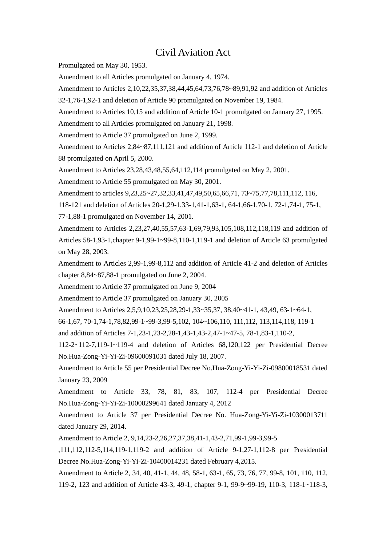## Civil Aviation Act

Promulgated on May 30, 1953.

Amendment to all Articles promulgated on January 4, 1974.

Amendment to Articles 2,10,22,35,37,38,44,45,64,73,76,78~89,91,92 and addition of Articles 32-1,76-1,92-1 and deletion of Article 90 promulgated on November 19, 1984.

Amendment to Articles 10,15 and addition of Article 10-1 promulgated on January 27, 1995.

Amendment to all Articles promulgated on January 21, 1998.

Amendment to Article 37 promulgated on June 2, 1999.

Amendment to Articles 2,84~87,111,121 and addition of Article 112-1 and deletion of Article 88 promulgated on April 5, 2000.

Amendment to Articles 23,28,43,48,55,64,112,114 promulgated on May 2, 2001.

Amendment to Article 55 promulgated on May 30, 2001.

Amendment to articles 9,23,25~27,32,33,41,47,49,50,65,66,71, 73~75,77,78,111,112, 116,

118-121 and deletion of Articles 20-1,29-1,33-1,41-1,63-1, 64-1,66-1,70-1, 72-1,74-1, 75-1,

77-1,88-1 promulgated on November 14, 2001.

Amendment to Articles 2,23,27,40,55,57,63-1,69,79,93,105,108,112,118,119 and addition of Articles 58-1,93-1,chapter 9-1,99-1~99-8,110-1,119-1 and deletion of Article 63 promulgated on May 28, 2003.

Amendment to Articles 2,99-1,99-8,112 and addition of Article 41-2 and deletion of Articles chapter 8,84~87,88-1 promulgated on June 2, 2004.

Amendment to Article 37 promulgated on June 9, 2004

Amendment to Article 37 promulgated on January 30, 2005

Amendment to Articles 2,5,9,10,23,25,28,29-1,33~35,37, 38,40~41-1, 43,49, 63-1~64-1,

66-1,67, 70-1,74-1,78,82,99-1~99-3,99-5,102, 104~106,110, 111,112, 113,114,118, 119-1

and addition of Articles 7-1,23-1,23-2,28-1,43-1,43-2,47-1~47-5, 78-1,83-1,110-2,

112-2~112-7,119-1~119-4 and deletion of Articles 68,120,122 per Presidential Decree No.Hua-Zong-Yi-Yi-Zi-09600091031 dated July 18, 2007.

Amendment to Article 55 per Presidential Decree No.Hua-Zong-Yi-Yi-Zi-09800018531 dated January 23, 2009

Amendment to Article 33, 78, 81, 83, 107, 112-4 per Presidential Decree No.Hua-Zong-Yi-Yi-Zi-10000299641 dated January 4, 2012

Amendment to Article 37 per Presidential Decree No. Hua-Zong-Yi-Yi-Zi-10300013711 dated January 29, 2014.

Amendment to Article 2, 9,14,23-2,26,27,37,38,41-1,43-2,71,99-1,99-3,99-5

,111,112,112-5,114,119-1,119-2 and addition of Article 9-1,27-1,112-8 per Presidential Decree No.Hua-Zong-Yi-Yi-Zi-10400014231 dated February 4,2015.

Amendment to Article 2, 34, 40, 41-1, 44, 48, 58-1, 63-1, 65, 73, 76, 77, 99-8, 101, 110, 112, 119-2, 123 and addition of Article 43-3, 49-1, chapter 9-1, 99-9~99-19, 110-3, 118-1~118-3,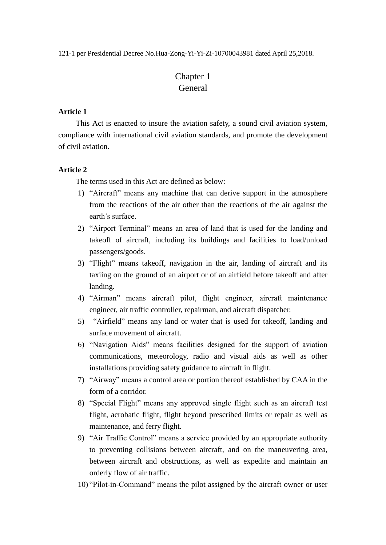# Chapter 1 General

## **Article 1**

This Act is enacted to insure the aviation safety, a sound civil aviation system, compliance with international civil aviation standards, and promote the development of civil aviation.

## **Article 2**

The terms used in this Act are defined as below:

- 1) "Aircraft" means any machine that can derive support in the atmosphere from the reactions of the air other than the reactions of the air against the earth's surface.
- 2) "Airport Terminal" means an area of land that is used for the landing and takeoff of aircraft, including its buildings and facilities to load/unload passengers/goods.
- 3) "Flight" means takeoff, navigation in the air, landing of aircraft and its taxiing on the ground of an airport or of an airfield before takeoff and after landing.
- 4) "Airman" means aircraft pilot, flight engineer, aircraft maintenance engineer, air traffic controller, repairman, and aircraft dispatcher.
- 5) "Airfield" means any land or water that is used for takeoff, landing and surface movement of aircraft.
- 6) "Navigation Aids" means facilities designed for the support of aviation communications, meteorology, radio and visual aids as well as other installations providing safety guidance to aircraft in flight.
- 7) "Airway" means a control area or portion thereof established by CAA in the form of a corridor.
- 8) "Special Flight" means any approved single flight such as an aircraft test flight, acrobatic flight, flight beyond prescribed limits or repair as well as maintenance, and ferry flight.
- 9) "Air Traffic Control" means a service provided by an appropriate authority to preventing collisions between aircraft, and on the maneuvering area, between aircraft and obstructions, as well as expedite and maintain an orderly flow of air traffic.
- 10) "Pilot-in-Command" means the pilot assigned by the aircraft owner or user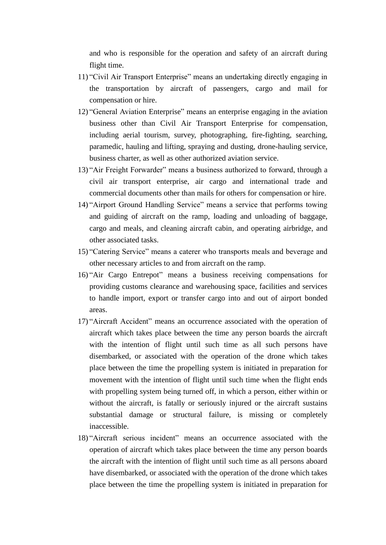and who is responsible for the operation and safety of an aircraft during flight time.

- 11) "Civil Air Transport Enterprise" means an undertaking directly engaging in the transportation by aircraft of passengers, cargo and mail for compensation or hire.
- 12) "General Aviation Enterprise" means an enterprise engaging in the aviation business other than Civil Air Transport Enterprise for compensation, including aerial tourism, survey, photographing, fire-fighting, searching, paramedic, hauling and lifting, spraying and dusting, drone-hauling service, business charter, as well as other authorized aviation service.
- 13) "Air Freight Forwarder" means a business authorized to forward, through a civil air transport enterprise, air cargo and international trade and commercial documents other than mails for others for compensation or hire.
- 14) "Airport Ground Handling Service" means a service that performs towing and guiding of aircraft on the ramp, loading and unloading of baggage, cargo and meals, and cleaning aircraft cabin, and operating airbridge, and other associated tasks.
- 15) "Catering Service" means a caterer who transports meals and beverage and other necessary articles to and from aircraft on the ramp.
- 16) "Air Cargo Entrepot" means a business receiving compensations for providing customs clearance and warehousing space, facilities and services to handle import, export or transfer cargo into and out of airport bonded areas.
- 17) "Aircraft Accident" means an occurrence associated with the operation of aircraft which takes place between the time any person boards the aircraft with the intention of flight until such time as all such persons have disembarked, or associated with the operation of the drone which takes place between the time the propelling system is initiated in preparation for movement with the intention of flight until such time when the flight ends with propelling system being turned off, in which a person, either within or without the aircraft, is fatally or seriously injured or the aircraft sustains substantial damage or structural failure, is missing or completely inaccessible.
- 18) "Aircraft serious incident" means an occurrence associated with the operation of aircraft which takes place between the time any person boards the aircraft with the intention of flight until such time as all persons aboard have disembarked, or associated with the operation of the drone which takes place between the time the propelling system is initiated in preparation for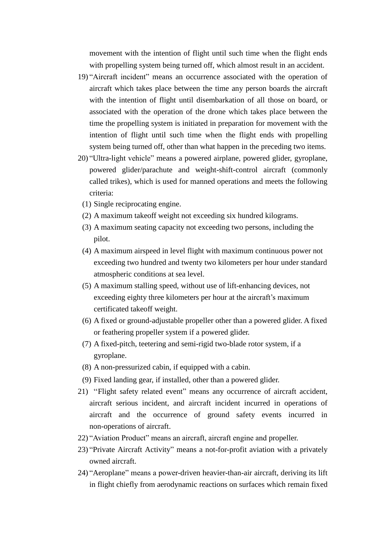movement with the intention of flight until such time when the flight ends with propelling system being turned off, which almost result in an accident.

- 19) "Aircraft incident" means an occurrence associated with the operation of aircraft which takes place between the time any person boards the aircraft with the intention of flight until disembarkation of all those on board, or associated with the operation of the drone which takes place between the time the propelling system is initiated in preparation for movement with the intention of flight until such time when the flight ends with propelling system being turned off, other than what happen in the preceding two items.
- 20) "Ultra-light vehicle" means a powered airplane, powered glider, gyroplane, powered glider/parachute and weight-shift-control aircraft (commonly called trikes), which is used for manned operations and meets the following criteria:
	- (1) Single reciprocating engine.
	- (2) A maximum takeoff weight not exceeding six hundred kilograms.
	- (3) A maximum seating capacity not exceeding two persons, including the pilot.
	- (4) A maximum airspeed in level flight with maximum continuous power not exceeding two hundred and twenty two kilometers per hour under standard atmospheric conditions at sea level.
	- (5) A maximum stalling speed, without use of lift-enhancing devices, not exceeding eighty three kilometers per hour at the aircraft's maximum certificated takeoff weight.
	- (6) A fixed or ground-adjustable propeller other than a powered glider. A fixed or feathering propeller system if a powered glider.
	- (7) A fixed-pitch, teetering and semi-rigid two-blade rotor system, if a gyroplane.
	- (8) A non-pressurized cabin, if equipped with a cabin.
	- (9) Fixed landing gear, if installed, other than a powered glider.
- 21) ''Flight safety related event" means any occurrence of aircraft accident, aircraft serious incident, and aircraft incident incurred in operations of aircraft and the occurrence of ground safety events incurred in non-operations of aircraft.
- 22) "Aviation Product" means an aircraft, aircraft engine and propeller.
- 23) "Private Aircraft Activity" means a not-for-profit aviation with a privately owned aircraft.
- 24) "Aeroplane" means a power-driven heavier-than-air aircraft, deriving its lift in flight chiefly from aerodynamic reactions on surfaces which remain fixed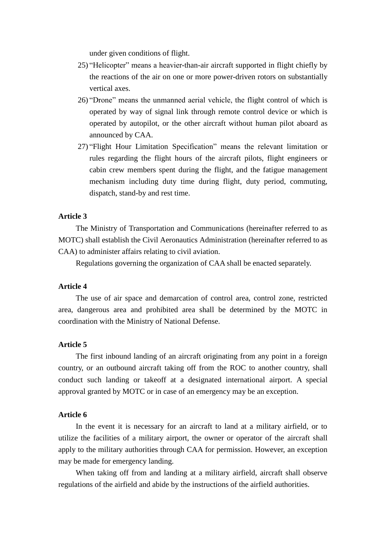under given conditions of flight.

- 25) "Helicopter" means a heavier-than-air aircraft supported in flight chiefly by the reactions of the air on one or more power-driven rotors on substantially vertical axes.
- 26) "Drone" means the unmanned aerial vehicle, the flight control of which is operated by way of signal link through remote control device or which is operated by autopilot, or the other aircraft without human pilot aboard as announced by CAA.
- 27) "Flight Hour Limitation Specification" means the relevant limitation or rules regarding the flight hours of the aircraft pilots, flight engineers or cabin crew members spent during the flight, and the fatigue management mechanism including duty time during flight, duty period, commuting, dispatch, stand-by and rest time.

## **Article 3**

The Ministry of Transportation and Communications (hereinafter referred to as MOTC) shall establish the Civil Aeronautics Administration (hereinafter referred to as CAA) to administer affairs relating to civil aviation.

Regulations governing the organization of CAA shall be enacted separately.

## **Article 4**

The use of air space and demarcation of control area, control zone, restricted area, dangerous area and prohibited area shall be determined by the MOTC in coordination with the Ministry of National Defense.

## **Article 5**

The first inbound landing of an aircraft originating from any point in a foreign country, or an outbound aircraft taking off from the ROC to another country, shall conduct such landing or takeoff at a designated international airport. A special approval granted by MOTC or in case of an emergency may be an exception.

## **Article 6**

In the event it is necessary for an aircraft to land at a military airfield, or to utilize the facilities of a military airport, the owner or operator of the aircraft shall apply to the military authorities through CAA for permission. However, an exception may be made for emergency landing.

When taking off from and landing at a military airfield, aircraft shall observe regulations of the airfield and abide by the instructions of the airfield authorities.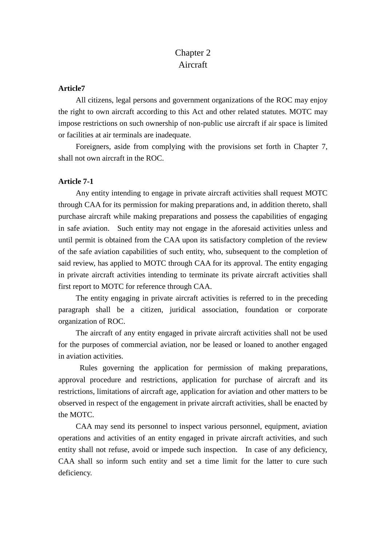# Chapter 2 Aircraft

## **Article7**

All citizens, legal persons and government organizations of the ROC may enjoy the right to own aircraft according to this Act and other related statutes. MOTC may impose restrictions on such ownership of non-public use aircraft if air space is limited or facilities at air terminals are inadequate.

Foreigners, aside from complying with the provisions set forth in Chapter 7, shall not own aircraft in the ROC.

## **Article 7-1**

Any entity intending to engage in private aircraft activities shall request MOTC through CAA for its permission for making preparations and, in addition thereto, shall purchase aircraft while making preparations and possess the capabilities of engaging in safe aviation. Such entity may not engage in the aforesaid activities unless and until permit is obtained from the CAA upon its satisfactory completion of the review of the safe aviation capabilities of such entity, who, subsequent to the completion of said review, has applied to MOTC through CAA for its approval. The entity engaging in private aircraft activities intending to terminate its private aircraft activities shall first report to MOTC for reference through CAA.

The entity engaging in private aircraft activities is referred to in the preceding paragraph shall be a citizen, juridical association, foundation or corporate organization of ROC.

The aircraft of any entity engaged in private aircraft activities shall not be used for the purposes of commercial aviation, nor be leased or loaned to another engaged in aviation activities.

Rules governing the application for permission of making preparations, approval procedure and restrictions, application for purchase of aircraft and its restrictions, limitations of aircraft age, application for aviation and other matters to be observed in respect of the engagement in private aircraft activities, shall be enacted by the MOTC.

CAA may send its personnel to inspect various personnel, equipment, aviation operations and activities of an entity engaged in private aircraft activities, and such entity shall not refuse, avoid or impede such inspection. In case of any deficiency, CAA shall so inform such entity and set a time limit for the latter to cure such deficiency.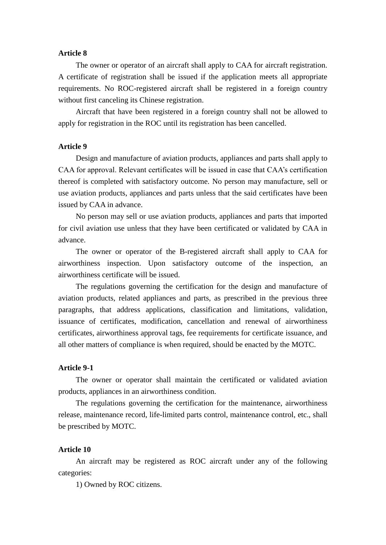## **Article 8**

The owner or operator of an aircraft shall apply to CAA for aircraft registration. A certificate of registration shall be issued if the application meets all appropriate requirements. No ROC-registered aircraft shall be registered in a foreign country without first canceling its Chinese registration.

Aircraft that have been registered in a foreign country shall not be allowed to apply for registration in the ROC until its registration has been cancelled.

## **Article 9**

Design and manufacture of aviation products, appliances and parts shall apply to CAA for approval. Relevant certificates will be issued in case that CAA's certification thereof is completed with satisfactory outcome. No person may manufacture, sell or use aviation products, appliances and parts unless that the said certificates have been issued by CAA in advance.

No person may sell or use aviation products, appliances and parts that imported for civil aviation use unless that they have been certificated or validated by CAA in advance.

The owner or operator of the B-registered aircraft shall apply to CAA for airworthiness inspection. Upon satisfactory outcome of the inspection, an airworthiness certificate will be issued.

The regulations governing the certification for the design and manufacture of aviation products, related appliances and parts, as prescribed in the previous three paragraphs, that address applications, classification and limitations, validation, issuance of certificates, modification, cancellation and renewal of airworthiness certificates, airworthiness approval tags, fee requirements for certificate issuance, and all other matters of compliance is when required, should be enacted by the MOTC.

## **Article 9-1**

The owner or operator shall maintain the certificated or validated aviation products, appliances in an airworthiness condition.

The regulations governing the certification for the maintenance, airworthiness release, maintenance record, life-limited parts control, maintenance control, etc., shall be prescribed by MOTC.

#### **Article 10**

An aircraft may be registered as ROC aircraft under any of the following categories:

1) Owned by ROC citizens.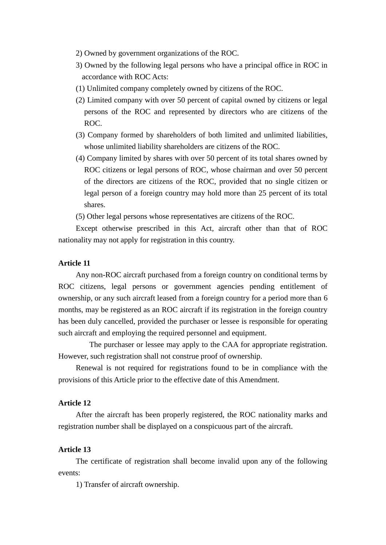- 2) Owned by government organizations of the ROC.
- 3) Owned by the following legal persons who have a principal office in ROC in accordance with ROC Acts:
- (1) Unlimited company completely owned by citizens of the ROC.
- (2) Limited company with over 50 percent of capital owned by citizens or legal persons of the ROC and represented by directors who are citizens of the ROC.
- (3) Company formed by shareholders of both limited and unlimited liabilities, whose unlimited liability shareholders are citizens of the ROC.
- (4) Company limited by shares with over 50 percent of its total shares owned by ROC citizens or legal persons of ROC, whose chairman and over 50 percent of the directors are citizens of the ROC, provided that no single citizen or legal person of a foreign country may hold more than 25 percent of its total shares.

(5) Other legal persons whose representatives are citizens of the ROC.

Except otherwise prescribed in this Act, aircraft other than that of ROC nationality may not apply for registration in this country.

#### **Article 11**

Any non-ROC aircraft purchased from a foreign country on conditional terms by ROC citizens, legal persons or government agencies pending entitlement of ownership, or any such aircraft leased from a foreign country for a period more than 6 months, may be registered as an ROC aircraft if its registration in the foreign country has been duly cancelled, provided the purchaser or lessee is responsible for operating such aircraft and employing the required personnel and equipment.

The purchaser or lessee may apply to the CAA for appropriate registration. However, such registration shall not construe proof of ownership.

Renewal is not required for registrations found to be in compliance with the provisions of this Article prior to the effective date of this Amendment.

#### **Article 12**

After the aircraft has been properly registered, the ROC nationality marks and registration number shall be displayed on a conspicuous part of the aircraft.

#### **Article 13**

The certificate of registration shall become invalid upon any of the following events:

1) Transfer of aircraft ownership.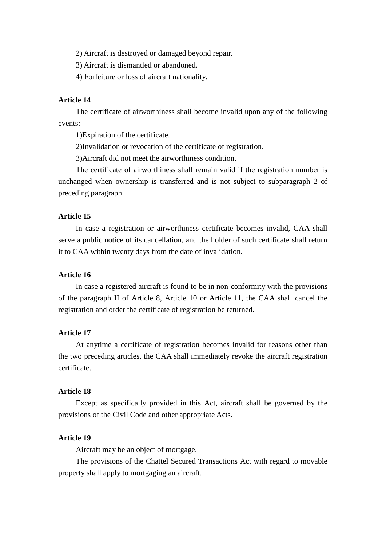2) Aircraft is destroyed or damaged beyond repair.

3) Aircraft is dismantled or abandoned.

4) Forfeiture or loss of aircraft nationality.

### **Article 14**

The certificate of airworthiness shall become invalid upon any of the following events:

1)Expiration of the certificate.

2)Invalidation or revocation of the certificate of registration.

3)Aircraft did not meet the airworthiness condition.

The certificate of airworthiness shall remain valid if the registration number is unchanged when ownership is transferred and is not subject to subparagraph 2 of preceding paragraph.

#### **Article 15**

In case a registration or airworthiness certificate becomes invalid, CAA shall serve a public notice of its cancellation, and the holder of such certificate shall return it to CAA within twenty days from the date of invalidation.

## **Article 16**

In case a registered aircraft is found to be in non-conformity with the provisions of the paragraph II of Article 8, Article 10 or Article 11, the CAA shall cancel the registration and order the certificate of registration be returned.

#### **Article 17**

At anytime a certificate of registration becomes invalid for reasons other than the two preceding articles, the CAA shall immediately revoke the aircraft registration certificate.

#### **Article 18**

Except as specifically provided in this Act, aircraft shall be governed by the provisions of the Civil Code and other appropriate Acts.

## **Article 19**

Aircraft may be an object of mortgage.

The provisions of the Chattel Secured Transactions Act with regard to movable property shall apply to mortgaging an aircraft.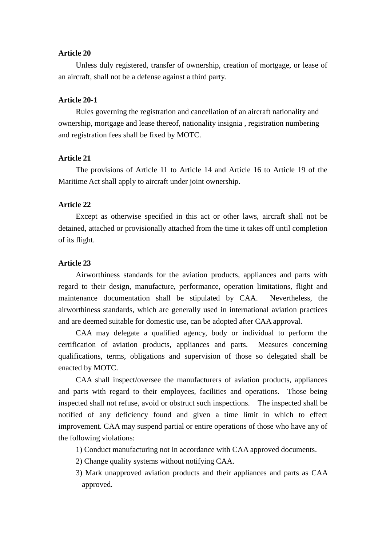## **Article 20**

Unless duly registered, transfer of ownership, creation of mortgage, or lease of an aircraft, shall not be a defense against a third party.

## **Article 20-1**

Rules governing the registration and cancellation of an aircraft nationality and ownership, mortgage and lease thereof, nationality insignia , registration numbering and registration fees shall be fixed by MOTC.

#### **Article 21**

The provisions of Article 11 to Article 14 and Article 16 to Article 19 of the Maritime Act shall apply to aircraft under joint ownership.

#### **Article 22**

Except as otherwise specified in this act or other laws, aircraft shall not be detained, attached or provisionally attached from the time it takes off until completion of its flight.

## **Article 23**

Airworthiness standards for the aviation products, appliances and parts with regard to their design, manufacture, performance, operation limitations, flight and maintenance documentation shall be stipulated by CAA. Nevertheless, the airworthiness standards, which are generally used in international aviation practices and are deemed suitable for domestic use, can be adopted after CAA approval.

CAA may delegate a qualified agency, body or individual to perform the certification of aviation products, appliances and parts. Measures concerning qualifications, terms, obligations and supervision of those so delegated shall be enacted by MOTC.

CAA shall inspect/oversee the manufacturers of aviation products, appliances and parts with regard to their employees, facilities and operations. Those being inspected shall not refuse, avoid or obstruct such inspections. The inspected shall be notified of any deficiency found and given a time limit in which to effect improvement. CAA may suspend partial or entire operations of those who have any of the following violations:

- 1) Conduct manufacturing not in accordance with CAA approved documents.
- 2) Change quality systems without notifying CAA.
- 3) Mark unapproved aviation products and their appliances and parts as CAA approved.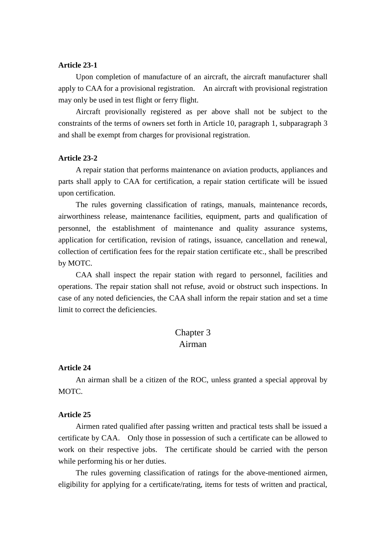#### **Article 23-1**

Upon completion of manufacture of an aircraft, the aircraft manufacturer shall apply to CAA for a provisional registration. An aircraft with provisional registration may only be used in test flight or ferry flight.

Aircraft provisionally registered as per above shall not be subject to the constraints of the terms of owners set forth in Article 10, paragraph 1, subparagraph 3 and shall be exempt from charges for provisional registration.

#### **Article 23-2**

A repair station that performs maintenance on aviation products, appliances and parts shall apply to CAA for certification, a repair station certificate will be issued upon certification.

The rules governing classification of ratings, manuals, maintenance records, airworthiness release, maintenance facilities, equipment, parts and qualification of personnel, the establishment of maintenance and quality assurance systems, application for certification, revision of ratings, issuance, cancellation and renewal, collection of certification fees for the repair station certificate etc., shall be prescribed by MOTC.

CAA shall inspect the repair station with regard to personnel, facilities and operations. The repair station shall not refuse, avoid or obstruct such inspections. In case of any noted deficiencies, the CAA shall inform the repair station and set a time limit to correct the deficiencies.

## Chapter 3 Airman

## **Article 24**

An airman shall be a citizen of the ROC, unless granted a special approval by MOTC.

### **Article 25**

Airmen rated qualified after passing written and practical tests shall be issued a certificate by CAA. Only those in possession of such a certificate can be allowed to work on their respective jobs. The certificate should be carried with the person while performing his or her duties.

The rules governing classification of ratings for the above-mentioned airmen, eligibility for applying for a certificate/rating, items for tests of written and practical,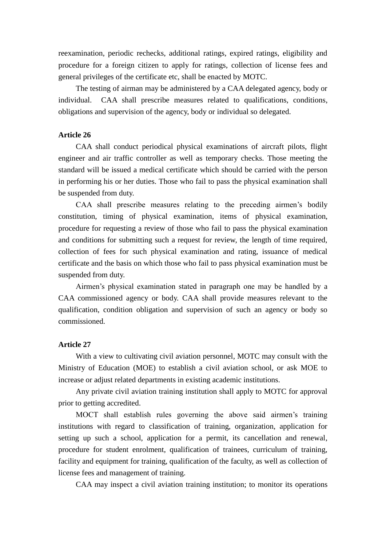reexamination, periodic rechecks, additional ratings, expired ratings, eligibility and procedure for a foreign citizen to apply for ratings, collection of license fees and general privileges of the certificate etc, shall be enacted by MOTC.

The testing of airman may be administered by a CAA delegated agency, body or individual. CAA shall prescribe measures related to qualifications, conditions, obligations and supervision of the agency, body or individual so delegated.

## **Article 26**

CAA shall conduct periodical physical examinations of aircraft pilots, flight engineer and air traffic controller as well as temporary checks. Those meeting the standard will be issued a medical certificate which should be carried with the person in performing his or her duties. Those who fail to pass the physical examination shall be suspended from duty.

CAA shall prescribe measures relating to the preceding airmen's bodily constitution, timing of physical examination, items of physical examination, procedure for requesting a review of those who fail to pass the physical examination and conditions for submitting such a request for review, the length of time required, collection of fees for such physical examination and rating, issuance of medical certificate and the basis on which those who fail to pass physical examination must be suspended from duty.

Airmen's physical examination stated in paragraph one may be handled by a CAA commissioned agency or body. CAA shall provide measures relevant to the qualification, condition obligation and supervision of such an agency or body so commissioned.

#### **Article 27**

With a view to cultivating civil aviation personnel, MOTC may consult with the Ministry of Education (MOE) to establish a civil aviation school, or ask MOE to increase or adjust related departments in existing academic institutions.

Any private civil aviation training institution shall apply to MOTC for approval prior to getting accredited.

MOCT shall establish rules governing the above said airmen's training institutions with regard to classification of training, organization, application for setting up such a school, application for a permit, its cancellation and renewal, procedure for student enrolment, qualification of trainees, curriculum of training, facility and equipment for training, qualification of the faculty, as well as collection of license fees and management of training.

CAA may inspect a civil aviation training institution; to monitor its operations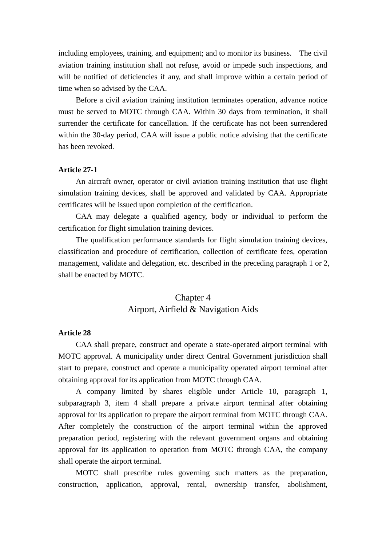including employees, training, and equipment; and to monitor its business. The civil aviation training institution shall not refuse, avoid or impede such inspections, and will be notified of deficiencies if any, and shall improve within a certain period of time when so advised by the CAA.

Before a civil aviation training institution terminates operation, advance notice must be served to MOTC through CAA. Within 30 days from termination, it shall surrender the certificate for cancellation. If the certificate has not been surrendered within the 30-day period, CAA will issue a public notice advising that the certificate has been revoked.

## **Article 27-1**

An aircraft owner, operator or civil aviation training institution that use flight simulation training devices, shall be approved and validated by CAA. Appropriate certificates will be issued upon completion of the certification.

CAA may delegate a qualified agency, body or individual to perform the certification for flight simulation training devices.

The qualification performance standards for flight simulation training devices, classification and procedure of certification, collection of certificate fees, operation management, validate and delegation, etc. described in the preceding paragraph 1 or 2, shall be enacted by MOTC.

# Chapter 4 Airport, Airfield & Navigation Aids

## **Article 28**

CAA shall prepare, construct and operate a state-operated airport terminal with MOTC approval. A municipality under direct Central Government jurisdiction shall start to prepare, construct and operate a municipality operated airport terminal after obtaining approval for its application from MOTC through CAA.

A company limited by shares eligible under Article 10, paragraph 1, subparagraph 3, item 4 shall prepare a private airport terminal after obtaining approval for its application to prepare the airport terminal from MOTC through CAA. After completely the construction of the airport terminal within the approved preparation period, registering with the relevant government organs and obtaining approval for its application to operation from MOTC through CAA, the company shall operate the airport terminal.

MOTC shall prescribe rules governing such matters as the preparation, construction, application, approval, rental, ownership transfer, abolishment,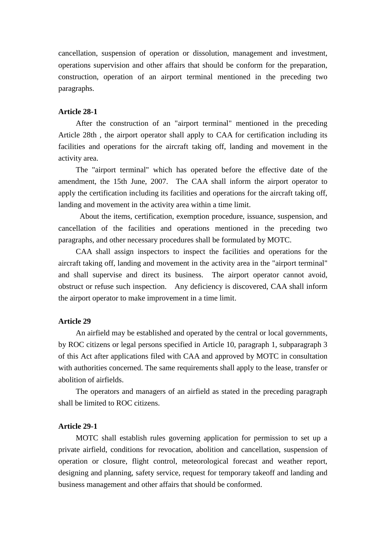cancellation, suspension of operation or dissolution, management and investment, operations supervision and other affairs that should be conform for the preparation, construction, operation of an airport terminal mentioned in the preceding two paragraphs.

## **Article 28-1**

After the construction of an "airport terminal" mentioned in the preceding Article 28th , the airport operator shall apply to CAA for certification including its facilities and operations for the aircraft taking off, landing and movement in the activity area.

The "airport terminal" which has operated before the effective date of the amendment, the 15th June, 2007. The CAA shall inform the airport operator to apply the certification including its facilities and operations for the aircraft taking off, landing and movement in the activity area within a time limit.

About the items, certification, exemption procedure, issuance, suspension, and cancellation of the facilities and operations mentioned in the preceding two paragraphs, and other necessary procedures shall be formulated by MOTC.

CAA shall assign inspectors to inspect the facilities and operations for the aircraft taking off, landing and movement in the activity area in the "airport terminal" and shall supervise and direct its business. The airport operator cannot avoid, obstruct or refuse such inspection. Any deficiency is discovered, CAA shall inform the airport operator to make improvement in a time limit.

#### **Article 29**

An airfield may be established and operated by the central or local governments, by ROC citizens or legal persons specified in Article 10, paragraph 1, subparagraph 3 of this Act after applications filed with CAA and approved by MOTC in consultation with authorities concerned. The same requirements shall apply to the lease, transfer or abolition of airfields.

The operators and managers of an airfield as stated in the preceding paragraph shall be limited to ROC citizens.

#### **Article 29-1**

MOTC shall establish rules governing application for permission to set up a private airfield, conditions for revocation, abolition and cancellation, suspension of operation or closure, flight control, meteorological forecast and weather report, designing and planning, safety service, request for temporary takeoff and landing and business management and other affairs that should be conformed.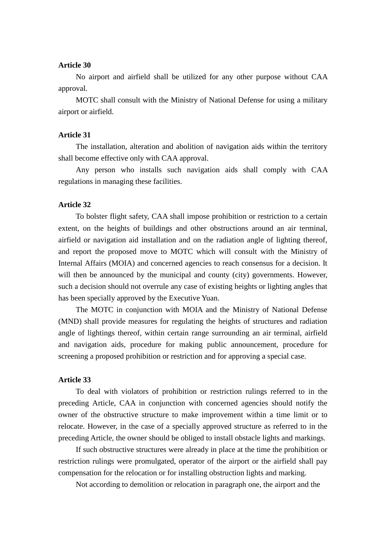#### **Article 30**

No airport and airfield shall be utilized for any other purpose without CAA approval.

MOTC shall consult with the Ministry of National Defense for using a military airport or airfield.

#### **Article 31**

The installation, alteration and abolition of navigation aids within the territory shall become effective only with CAA approval.

Any person who installs such navigation aids shall comply with CAA regulations in managing these facilities.

#### **Article 32**

To bolster flight safety, CAA shall impose prohibition or restriction to a certain extent, on the heights of buildings and other obstructions around an air terminal, airfield or navigation aid installation and on the radiation angle of lighting thereof, and report the proposed move to MOTC which will consult with the Ministry of Internal Affairs (MOIA) and concerned agencies to reach consensus for a decision. It will then be announced by the municipal and county (city) governments. However, such a decision should not overrule any case of existing heights or lighting angles that has been specially approved by the Executive Yuan.

The MOTC in conjunction with MOIA and the Ministry of National Defense (MND) shall provide measures for regulating the heights of structures and radiation angle of lightings thereof, within certain range surrounding an air terminal, airfield and navigation aids, procedure for making public announcement, procedure for screening a proposed prohibition or restriction and for approving a special case.

#### **Article 33**

To deal with violators of prohibition or restriction rulings referred to in the preceding Article, CAA in conjunction with concerned agencies should notify the owner of the obstructive structure to make improvement within a time limit or to relocate. However, in the case of a specially approved structure as referred to in the preceding Article, the owner should be obliged to install obstacle lights and markings.

If such obstructive structures were already in place at the time the prohibition or restriction rulings were promulgated, operator of the airport or the airfield shall pay compensation for the relocation or for installing obstruction lights and marking.

Not according to demolition or relocation in paragraph one, the airport and the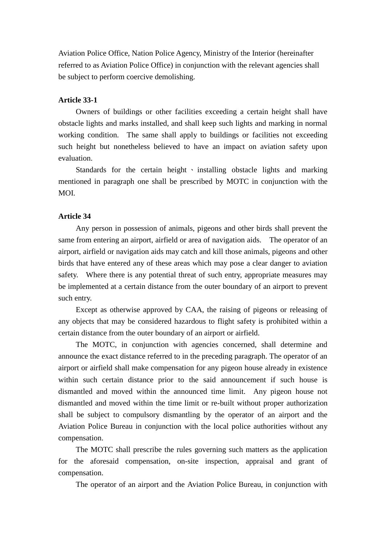Aviation Police Office, Nation Police Agency, Ministry of the Interior (hereinafter referred to as Aviation Police Office) in conjunction with the relevant agencies shall be subject to perform coercive demolishing.

### **Article 33-1**

Owners of buildings or other facilities exceeding a certain height shall have obstacle lights and marks installed, and shall keep such lights and marking in normal working condition. The same shall apply to buildings or facilities not exceeding such height but nonetheless believed to have an impact on aviation safety upon evaluation.

Standards for the certain height installing obstacle lights and marking mentioned in paragraph one shall be prescribed by MOTC in conjunction with the MOI.

### **Article 34**

Any person in possession of animals, pigeons and other birds shall prevent the same from entering an airport, airfield or area of navigation aids. The operator of an airport, airfield or navigation aids may catch and kill those animals, pigeons and other birds that have entered any of these areas which may pose a clear danger to aviation safety. Where there is any potential threat of such entry, appropriate measures may be implemented at a certain distance from the outer boundary of an airport to prevent such entry.

Except as otherwise approved by CAA, the raising of pigeons or releasing of any objects that may be considered hazardous to flight safety is prohibited within a certain distance from the outer boundary of an airport or airfield.

The MOTC, in conjunction with agencies concerned, shall determine and announce the exact distance referred to in the preceding paragraph. The operator of an airport or airfield shall make compensation for any pigeon house already in existence within such certain distance prior to the said announcement if such house is dismantled and moved within the announced time limit. Any pigeon house not dismantled and moved within the time limit or re-built without proper authorization shall be subject to compulsory dismantling by the operator of an airport and the Aviation Police Bureau in conjunction with the local police authorities without any compensation.

The MOTC shall prescribe the rules governing such matters as the application for the aforesaid compensation, on-site inspection, appraisal and grant of compensation.

The operator of an airport and the Aviation Police Bureau, in conjunction with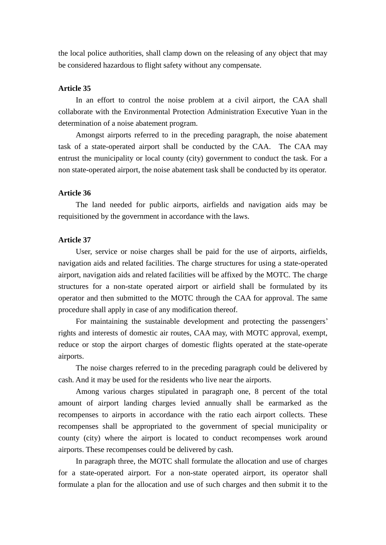the local police authorities, shall clamp down on the releasing of any object that may be considered hazardous to flight safety without any compensate.

#### **Article 35**

In an effort to control the noise problem at a civil airport, the CAA shall collaborate with the Environmental Protection Administration Executive Yuan in the determination of a noise abatement program.

Amongst airports referred to in the preceding paragraph, the noise abatement task of a state-operated airport shall be conducted by the CAA. The CAA may entrust the municipality or local county (city) government to conduct the task. For a non state-operated airport, the noise abatement task shall be conducted by its operator.

### **Article 36**

The land needed for public airports, airfields and navigation aids may be requisitioned by the government in accordance with the laws.

## **Article 37**

User, service or noise charges shall be paid for the use of airports, airfields, navigation aids and related facilities. The charge structures for using a state-operated airport, navigation aids and related facilities will be affixed by the MOTC. The charge structures for a non-state operated airport or airfield shall be formulated by its operator and then submitted to the MOTC through the CAA for approval. The same procedure shall apply in case of any modification thereof.

For maintaining the sustainable development and protecting the passengers' rights and interests of domestic air routes, CAA may, with MOTC approval, exempt, reduce or stop the airport charges of domestic flights operated at the state-operate airports.

The noise charges referred to in the preceding paragraph could be delivered by cash. And it may be used for the residents who live near the airports.

Among various charges stipulated in paragraph one, 8 percent of the total amount of airport landing charges levied annually shall be earmarked as the recompenses to airports in accordance with the ratio each airport collects. These recompenses shall be appropriated to the government of special municipality or county (city) where the airport is located to conduct recompenses work around airports. These recompenses could be delivered by cash.

In paragraph three, the MOTC shall formulate the allocation and use of charges for a state-operated airport. For a non-state operated airport, its operator shall formulate a plan for the allocation and use of such charges and then submit it to the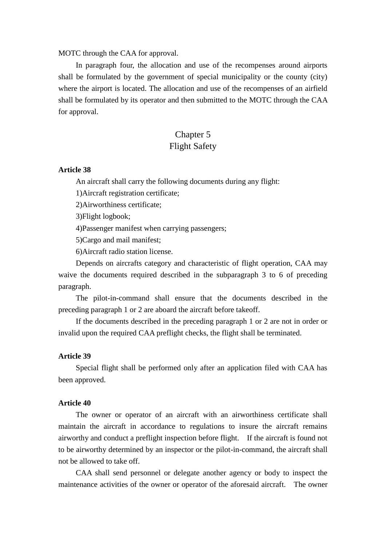MOTC through the CAA for approval.

In paragraph four, the allocation and use of the recompenses around airports shall be formulated by the government of special municipality or the county (city) where the airport is located. The allocation and use of the recompenses of an airfield shall be formulated by its operator and then submitted to the MOTC through the CAA for approval.

# Chapter 5 Flight Safety

## **Article 38**

An aircraft shall carry the following documents during any flight:

1)Aircraft registration certificate;

2)Airworthiness certificate;

3)Flight logbook;

4)Passenger manifest when carrying passengers;

5)Cargo and mail manifest;

6)Aircraft radio station license.

Depends on aircrafts category and characteristic of flight operation, CAA may waive the documents required described in the subparagraph 3 to 6 of preceding paragraph.

The pilot-in-command shall ensure that the documents described in the preceding paragraph 1 or 2 are aboard the aircraft before takeoff.

If the documents described in the preceding paragraph 1 or 2 are not in order or invalid upon the required CAA preflight checks, the flight shall be terminated.

#### **Article 39**

Special flight shall be performed only after an application filed with CAA has been approved.

### **Article 40**

The owner or operator of an aircraft with an airworthiness certificate shall maintain the aircraft in accordance to regulations to insure the aircraft remains airworthy and conduct a preflight inspection before flight. If the aircraft is found not to be airworthy determined by an inspector or the pilot-in-command, the aircraft shall not be allowed to take off.

CAA shall send personnel or delegate another agency or body to inspect the maintenance activities of the owner or operator of the aforesaid aircraft. The owner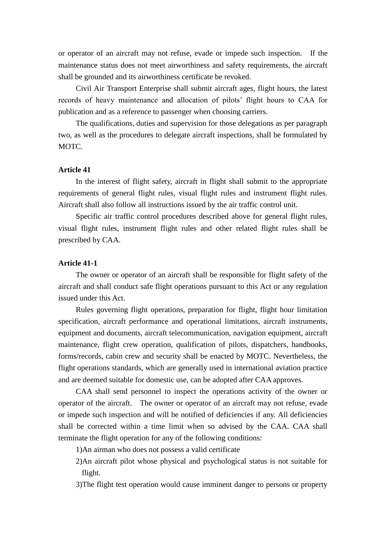or operator of an aircraft may not refuse, evade or impede such inspection. If the maintenance status does not meet airworthiness and safety requirements, the aircraft shall be grounded and its airworthiness certificate be revoked.

Civil Air Transport Enterprise shall submit aircraft ages, flight hours, the latest records of heavy maintenance and allocation of pilots' flight hours to CAA for publication and as a reference to passenger when choosing carriers.

The qualifications, duties and supervision for those delegations as per paragraph two, as well as the procedures to delegate aircraft inspections, shall be formulated by MOTC.

## **Article 41**

In the interest of flight safety, aircraft in flight shall submit to the appropriate requirements of general flight rules, visual flight rules and instrument flight rules. Aircraft shall also follow all instructions issued by the air traffic control unit.

Specific air traffic control procedures described above for general flight rules, visual flight rules, instrument flight rules and other related flight rules shall be prescribed by CAA.

#### **Article 41-1**

The owner or operator of an aircraft shall be responsible for flight safety of the aircraft and shall conduct safe flight operations pursuant to this Act or any regulation issued under this Act.

Rules governing flight operations, preparation for flight, flight hour limitation specification, aircraft performance and operational limitations, aircraft instruments, equipment and documents, aircraft telecommunication, navigation equipment, aircraft maintenance, flight crew operation, qualification of pilots, dispatchers, handbooks, forms/records, cabin crew and security shall be enacted by MOTC. Nevertheless, the flight operations standards, which are generally used in international aviation practice and are deemed suitable for domestic use, can be adopted after CAA approves.

CAA shall send personnel to inspect the operations activity of the owner or operator of the aircraft. The owner or operator of an aircraft may not refuse, evade or impede such inspection and will be notified of deficiencies if any. All deficiencies shall be corrected within a time limit when so advised by the CAA. CAA shall terminate the flight operation for any of the following conditions:

1)An airman who does not possess a valid certificate

- 2)An aircraft pilot whose physical and psychological status is not suitable for flight.
- 3)The flight test operation would cause imminent danger to persons or property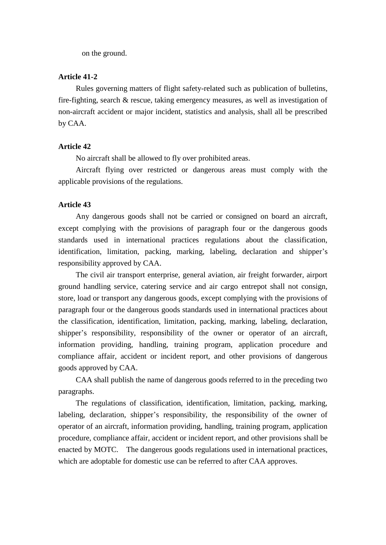on the ground.

#### **Article 41-2**

Rules governing matters of flight safety-related such as publication of bulletins, fire-fighting, search & rescue, taking emergency measures, as well as investigation of non-aircraft accident or major incident, statistics and analysis, shall all be prescribed by CAA.

#### **Article 42**

No aircraft shall be allowed to fly over prohibited areas.

Aircraft flying over restricted or dangerous areas must comply with the applicable provisions of the regulations.

#### **Article 43**

Any dangerous goods shall not be carried or consigned on board an aircraft, except complying with the provisions of paragraph four or the dangerous goods standards used in international practices regulations about the classification, identification, limitation, packing, marking, labeling, declaration and shipper's responsibility approved by CAA.

The civil air transport enterprise, general aviation, air freight forwarder, airport ground handling service, catering service and air cargo entrepot shall not consign, store, load or transport any dangerous goods, except complying with the provisions of paragraph four or the dangerous goods standards used in international practices about the classification, identification, limitation, packing, marking, labeling, declaration, shipper's responsibility, responsibility of the owner or operator of an aircraft, information providing, handling, training program, application procedure and compliance affair, accident or incident report, and other provisions of dangerous goods approved by CAA.

CAA shall publish the name of dangerous goods referred to in the preceding two paragraphs.

The regulations of classification, identification, limitation, packing, marking, labeling, declaration, shipper's responsibility, the responsibility of the owner of operator of an aircraft, information providing, handling, training program, application procedure, compliance affair, accident or incident report, and other provisions shall be enacted by MOTC. The dangerous goods regulations used in international practices, which are adoptable for domestic use can be referred to after CAA approves.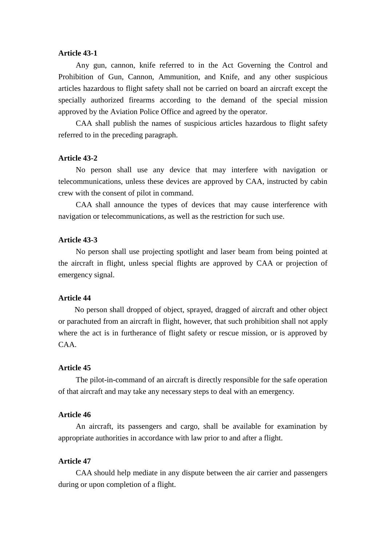## **Article 43-1**

Any gun, cannon, knife referred to in the Act Governing the Control and Prohibition of Gun, Cannon, Ammunition, and Knife, and any other suspicious articles hazardous to flight safety shall not be carried on board an aircraft except the specially authorized firearms according to the demand of the special mission approved by the Aviation Police Office and agreed by the operator.

CAA shall publish the names of suspicious articles hazardous to flight safety referred to in the preceding paragraph.

#### **Article 43-2**

No person shall use any device that may interfere with navigation or telecommunications, unless these devices are approved by CAA, instructed by cabin crew with the consent of pilot in command.

CAA shall announce the types of devices that may cause interference with navigation or telecommunications, as well as the restriction for such use.

## **Article 43-3**

No person shall use projecting spotlight and laser beam from being pointed at the aircraft in flight, unless special flights are approved by CAA or projection of emergency signal.

### **Article 44**

No person shall dropped of object, sprayed, dragged of aircraft and other object or parachuted from an aircraft in flight, however, that such prohibition shall not apply where the act is in furtherance of flight safety or rescue mission, or is approved by CAA.

## **Article 45**

The pilot-in-command of an aircraft is directly responsible for the safe operation of that aircraft and may take any necessary steps to deal with an emergency.

## **Article 46**

An aircraft, its passengers and cargo, shall be available for examination by appropriate authorities in accordance with law prior to and after a flight.

#### **Article 47**

CAA should help mediate in any dispute between the air carrier and passengers during or upon completion of a flight.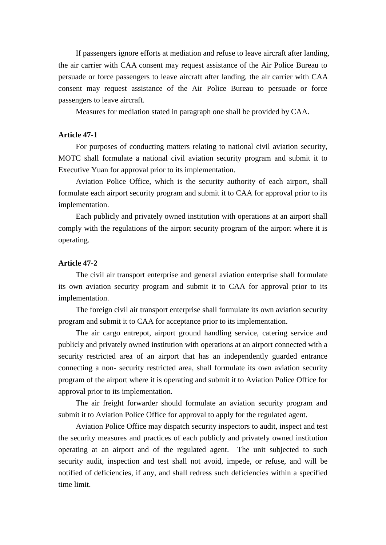If passengers ignore efforts at mediation and refuse to leave aircraft after landing, the air carrier with CAA consent may request assistance of the Air Police Bureau to persuade or force passengers to leave aircraft after landing, the air carrier with CAA consent may request assistance of the Air Police Bureau to persuade or force passengers to leave aircraft.

Measures for mediation stated in paragraph one shall be provided by CAA.

## **Article 47-1**

For purposes of conducting matters relating to national civil aviation security, MOTC shall formulate a national civil aviation security program and submit it to Executive Yuan for approval prior to its implementation.

Aviation Police Office, which is the security authority of each airport, shall formulate each airport security program and submit it to CAA for approval prior to its implementation.

Each publicly and privately owned institution with operations at an airport shall comply with the regulations of the airport security program of the airport where it is operating.

## **Article 47-2**

The civil air transport enterprise and general aviation enterprise shall formulate its own aviation security program and submit it to CAA for approval prior to its implementation.

The foreign civil air transport enterprise shall formulate its own aviation security program and submit it to CAA for acceptance prior to its implementation.

The air cargo entrepot, airport ground handling service, catering service and publicly and privately owned institution with operations at an airport connected with a security restricted area of an airport that has an independently guarded entrance connecting a non- security restricted area, shall formulate its own aviation security program of the airport where it is operating and submit it to Aviation Police Office for approval prior to its implementation.

The air freight forwarder should formulate an aviation security program and submit it to Aviation Police Office for approval to apply for the regulated agent.

Aviation Police Office may dispatch security inspectors to audit, inspect and test the security measures and practices of each publicly and privately owned institution operating at an airport and of the regulated agent. The unit subjected to such security audit, inspection and test shall not avoid, impede, or refuse, and will be notified of deficiencies, if any, and shall redress such deficiencies within a specified time limit.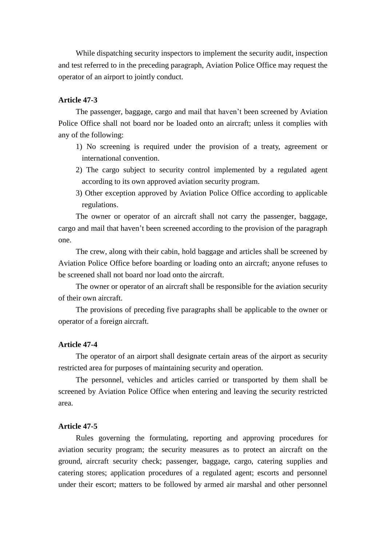While dispatching security inspectors to implement the security audit, inspection and test referred to in the preceding paragraph, Aviation Police Office may request the operator of an airport to jointly conduct.

#### **Article 47-3**

The passenger, baggage, cargo and mail that haven't been screened by Aviation Police Office shall not board nor be loaded onto an aircraft; unless it complies with any of the following:

- 1) No screening is required under the provision of a treaty, agreement or international convention.
- 2) The cargo subject to security control implemented by a regulated agent according to its own approved aviation security program.
- 3) Other exception approved by Aviation Police Office according to applicable regulations.

The owner or operator of an aircraft shall not carry the passenger, baggage, cargo and mail that haven't been screened according to the provision of the paragraph one.

The crew, along with their cabin, hold baggage and articles shall be screened by Aviation Police Office before boarding or loading onto an aircraft; anyone refuses to be screened shall not board nor load onto the aircraft.

The owner or operator of an aircraft shall be responsible for the aviation security of their own aircraft.

The provisions of preceding five paragraphs shall be applicable to the owner or operator of a foreign aircraft.

## **Article 47-4**

The operator of an airport shall designate certain areas of the airport as security restricted area for purposes of maintaining security and operation.

The personnel, vehicles and articles carried or transported by them shall be screened by Aviation Police Office when entering and leaving the security restricted area.

#### **Article 47-5**

Rules governing the formulating, reporting and approving procedures for aviation security program; the security measures as to protect an aircraft on the ground, aircraft security check; passenger, baggage, cargo, catering supplies and catering stores; application procedures of a regulated agent; escorts and personnel under their escort; matters to be followed by armed air marshal and other personnel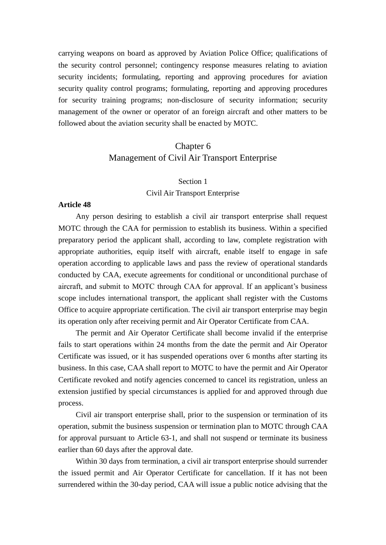carrying weapons on board as approved by Aviation Police Office; qualifications of the security control personnel; contingency response measures relating to aviation security incidents; formulating, reporting and approving procedures for aviation security quality control programs; formulating, reporting and approving procedures for security training programs; non-disclosure of security information; security management of the owner or operator of an foreign aircraft and other matters to be followed about the aviation security shall be enacted by MOTC.

## Chapter 6 Management of Civil Air Transport Enterprise

## Section 1

#### Civil Air Transport Enterprise

## **Article 48**

Any person desiring to establish a civil air transport enterprise shall request MOTC through the CAA for permission to establish its business. Within a specified preparatory period the applicant shall, according to law, complete registration with appropriate authorities, equip itself with aircraft, enable itself to engage in safe operation according to applicable laws and pass the review of operational standards conducted by CAA, execute agreements for conditional or unconditional purchase of aircraft, and submit to MOTC through CAA for approval. If an applicant's business scope includes international transport, the applicant shall register with the Customs Office to acquire appropriate certification. The civil air transport enterprise may begin its operation only after receiving permit and Air Operator Certificate from CAA.

The permit and Air Operator Certificate shall become invalid if the enterprise fails to start operations within 24 months from the date the permit and Air Operator Certificate was issued, or it has suspended operations over 6 months after starting its business. In this case, CAA shall report to MOTC to have the permit and Air Operator Certificate revoked and notify agencies concerned to cancel its registration, unless an extension justified by special circumstances is applied for and approved through due process.

Civil air transport enterprise shall, prior to the suspension or termination of its operation, submit the business suspension or termination plan to MOTC through CAA for approval pursuant to Article 63-1, and shall not suspend or terminate its business earlier than 60 days after the approval date.

Within 30 days from termination, a civil air transport enterprise should surrender the issued permit and Air Operator Certificate for cancellation. If it has not been surrendered within the 30-day period, CAA will issue a public notice advising that the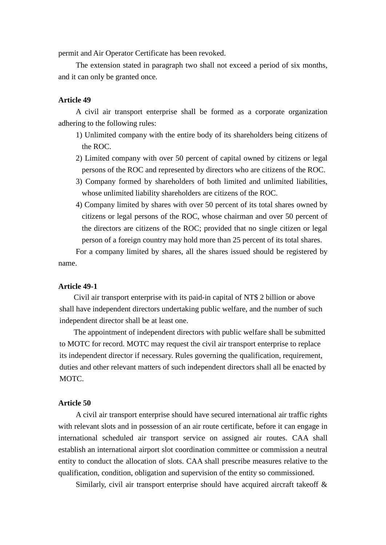permit and Air Operator Certificate has been revoked.

The extension stated in paragraph two shall not exceed a period of six months, and it can only be granted once.

#### **Article 49**

A civil air transport enterprise shall be formed as a corporate organization adhering to the following rules:

- 1) Unlimited company with the entire body of its shareholders being citizens of the ROC.
- 2) Limited company with over 50 percent of capital owned by citizens or legal persons of the ROC and represented by directors who are citizens of the ROC.
- 3) Company formed by shareholders of both limited and unlimited liabilities, whose unlimited liability shareholders are citizens of the ROC.
- 4) Company limited by shares with over 50 percent of its total shares owned by citizens or legal persons of the ROC, whose chairman and over 50 percent of the directors are citizens of the ROC; provided that no single citizen or legal person of a foreign country may hold more than 25 percent of its total shares.

For a company limited by shares, all the shares issued should be registered by name.

## **Article 49-1**

Civil air transport enterprise with its paid-in capital of NT\$ 2 billion or above shall have independent directors undertaking public welfare, and the number of such independent director shall be at least one.

The appointment of independent directors with public welfare shall be submitted to MOTC for record. MOTC may request the civil air transport enterprise to replace its independent director if necessary. Rules governing the qualification, requirement, duties and other relevant matters of such independent directors shall all be enacted by MOTC.

### **Article 50**

A civil air transport enterprise should have secured international air traffic rights with relevant slots and in possession of an air route certificate, before it can engage in international scheduled air transport service on assigned air routes. CAA shall establish an international airport slot coordination committee or commission a neutral entity to conduct the allocation of slots. CAA shall prescribe measures relative to the qualification, condition, obligation and supervision of the entity so commissioned.

Similarly, civil air transport enterprise should have acquired aircraft takeoff &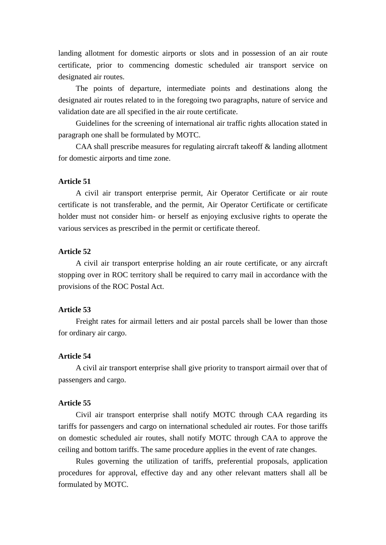landing allotment for domestic airports or slots and in possession of an air route certificate, prior to commencing domestic scheduled air transport service on designated air routes.

The points of departure, intermediate points and destinations along the designated air routes related to in the foregoing two paragraphs, nature of service and validation date are all specified in the air route certificate.

Guidelines for the screening of international air traffic rights allocation stated in paragraph one shall be formulated by MOTC.

CAA shall prescribe measures for regulating aircraft takeoff & landing allotment for domestic airports and time zone.

## **Article 51**

A civil air transport enterprise permit, Air Operator Certificate or air route certificate is not transferable, and the permit, Air Operator Certificate or certificate holder must not consider him- or herself as enjoying exclusive rights to operate the various services as prescribed in the permit or certificate thereof.

## **Article 52**

A civil air transport enterprise holding an air route certificate, or any aircraft stopping over in ROC territory shall be required to carry mail in accordance with the provisions of the ROC Postal Act.

## **Article 53**

Freight rates for airmail letters and air postal parcels shall be lower than those for ordinary air cargo.

### **Article 54**

A civil air transport enterprise shall give priority to transport airmail over that of passengers and cargo.

#### **Article 55**

Civil air transport enterprise shall notify MOTC through CAA regarding its tariffs for passengers and cargo on international scheduled air routes. For those tariffs on domestic scheduled air routes, shall notify MOTC through CAA to approve the ceiling and bottom tariffs. The same procedure applies in the event of rate changes.

Rules governing the utilization of tariffs, preferential proposals, application procedures for approval, effective day and any other relevant matters shall all be formulated by MOTC.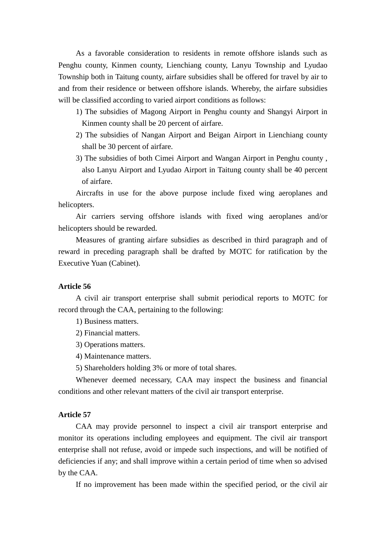As a favorable consideration to residents in remote offshore islands such as Penghu county, Kinmen county, Lienchiang county, Lanyu Township and Lyudao Township both in Taitung county, airfare subsidies shall be offered for travel by air to and from their residence or between offshore islands. Whereby, the airfare subsidies will be classified according to varied airport conditions as follows:

- 1) The subsidies of Magong Airport in Penghu county and Shangyi Airport in Kinmen county shall be 20 percent of airfare.
- 2) The subsidies of Nangan Airport and Beigan Airport in Lienchiang county shall be 30 percent of airfare.
- 3) The subsidies of both [Cimei](http://english.siamdailynews.com/news-topics/chimei) Airport and Wangan Airport in Penghu county , also Lanyu Airport and Lyudao Airport in Taitung county shall be 40 percent of airfare.

Aircrafts in use for the above purpose include fixed wing aeroplanes and helicopters.

Air carriers serving offshore islands with fixed wing aeroplanes and/or helicopters should be rewarded.

Measures of granting airfare subsidies as described in third paragraph and of reward in preceding paragraph shall be drafted by MOTC for ratification by the Executive Yuan (Cabinet).

#### **Article 56**

A civil air transport enterprise shall submit periodical reports to MOTC for record through the CAA, pertaining to the following:

1) Business matters.

- 2) Financial matters.
- 3) Operations matters.
- 4) Maintenance matters.
- 5) Shareholders holding 3% or more of total shares.

Whenever deemed necessary, CAA may inspect the business and financial conditions and other relevant matters of the civil air transport enterprise.

## **Article 57**

CAA may provide personnel to inspect a civil air transport enterprise and monitor its operations including employees and equipment. The civil air transport enterprise shall not refuse, avoid or impede such inspections, and will be notified of deficiencies if any; and shall improve within a certain period of time when so advised by the CAA.

If no improvement has been made within the specified period, or the civil air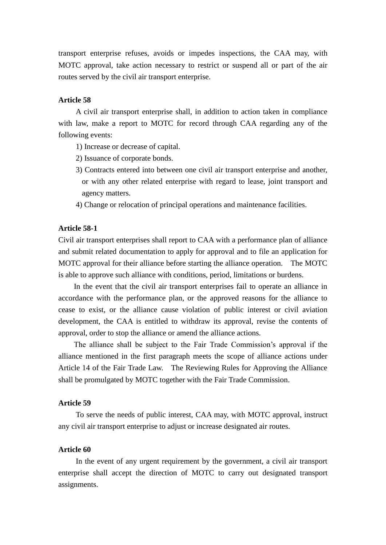transport enterprise refuses, avoids or impedes inspections, the CAA may, with MOTC approval, take action necessary to restrict or suspend all or part of the air routes served by the civil air transport enterprise.

#### **Article 58**

A civil air transport enterprise shall, in addition to action taken in compliance with law, make a report to MOTC for record through CAA regarding any of the following events:

- 1) Increase or decrease of capital.
- 2) Issuance of corporate bonds.
- 3) Contracts entered into between one civil air transport enterprise and another, or with any other related enterprise with regard to lease, joint transport and agency matters.
- 4) Change or relocation of principal operations and maintenance facilities.

## **Article 58-1**

Civil air transport enterprises shall report to CAA with a performance plan of alliance and submit related documentation to apply for approval and to file an application for MOTC approval for their alliance before starting the alliance operation. The MOTC is able to approve such alliance with conditions, period, limitations or burdens.

In the event that the civil air transport enterprises fail to operate an alliance in accordance with the performance plan, or the approved reasons for the alliance to cease to exist, or the alliance cause violation of public interest or civil aviation development, the CAA is entitled to withdraw its approval, revise the contents of approval, order to stop the alliance or amend the alliance actions.

The alliance shall be subject to the Fair Trade Commission's approval if the alliance mentioned in the first paragraph meets the scope of alliance actions under Article 14 of the Fair Trade Law. The Reviewing Rules for Approving the Alliance shall be promulgated by MOTC together with the Fair Trade Commission.

#### **Article 59**

To serve the needs of public interest, CAA may, with MOTC approval, instruct any civil air transport enterprise to adjust or increase designated air routes.

## **Article 60**

In the event of any urgent requirement by the government, a civil air transport enterprise shall accept the direction of MOTC to carry out designated transport assignments.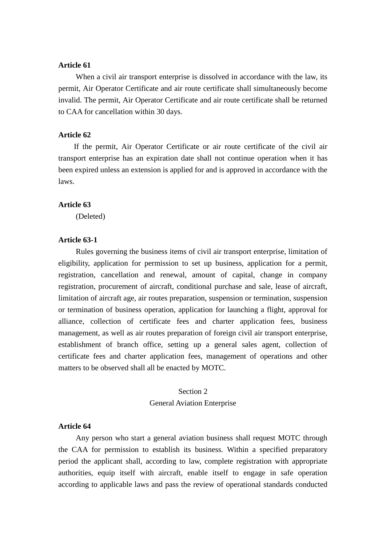## **Article 61**

When a civil air transport enterprise is dissolved in accordance with the law, its permit, Air Operator Certificate and air route certificate shall simultaneously become invalid. The permit, Air Operator Certificate and air route certificate shall be returned to CAA for cancellation within 30 days.

### **Article 62**

If the permit, Air Operator Certificate or air route certificate of the civil air transport enterprise has an expiration date shall not continue operation when it has been expired unless an extension is applied for and is approved in accordance with the laws.

## **Article 63**

(Deleted)

## **Article 63-1**

Rules governing the business items of civil air transport enterprise, limitation of eligibility, application for permission to set up business, application for a permit, registration, cancellation and renewal, amount of capital, change in company registration, procurement of aircraft, conditional purchase and sale, lease of aircraft, limitation of aircraft age, air routes preparation, suspension or termination, suspension or termination of business operation, application for launching a flight, approval for alliance, collection of certificate fees and charter application fees, business management, as well as air routes preparation of foreign civil air transport enterprise, establishment of branch office, setting up a general sales agent, collection of certificate fees and charter application fees, management of operations and other matters to be observed shall all be enacted by MOTC.

> Section 2 General Aviation Enterprise

## **Article 64**

Any person who start a general aviation business shall request MOTC through the CAA for permission to establish its business. Within a specified preparatory period the applicant shall, according to law, complete registration with appropriate authorities, equip itself with aircraft, enable itself to engage in safe operation according to applicable laws and pass the review of operational standards conducted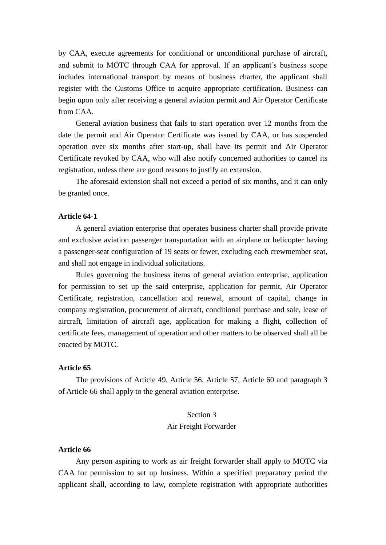by CAA, execute agreements for conditional or unconditional purchase of aircraft, and submit to MOTC through CAA for approval. If an applicant's business scope includes international transport by means of business charter, the applicant shall register with the Customs Office to acquire appropriate certification. Business can begin upon only after receiving a general aviation permit and Air Operator Certificate from CAA.

General aviation business that fails to start operation over 12 months from the date the permit and Air Operator Certificate was issued by CAA, or has suspended operation over six months after start-up, shall have its permit and Air Operator Certificate revoked by CAA, who will also notify concerned authorities to cancel its registration, unless there are good reasons to justify an extension.

The aforesaid extension shall not exceed a period of six months, and it can only be granted once.

## **Article 64-1**

A general aviation enterprise that operates business charter shall provide private and exclusive aviation passenger transportation with an airplane or helicopter having a passenger-seat configuration of 19 seats or fewer, excluding each crewmember seat, and shall not engage in individual solicitations.

Rules governing the business items of general aviation enterprise, application for permission to set up the said enterprise, application for permit, Air Operator Certificate, registration, cancellation and renewal, amount of capital, change in company registration, procurement of aircraft, conditional purchase and sale, lease of aircraft, limitation of aircraft age, application for making a flight, collection of certificate fees, management of operation and other matters to be observed shall all be enacted by MOTC.

## **Article 65**

The provisions of Article 49, Article 56, Article 57, Article 60 and paragraph 3 of Article 66 shall apply to the general aviation enterprise.

## Section 3

#### Air Freight Forwarder

#### **Article 66**

Any person aspiring to work as air freight forwarder shall apply to MOTC via CAA for permission to set up business. Within a specified preparatory period the applicant shall, according to law, complete registration with appropriate authorities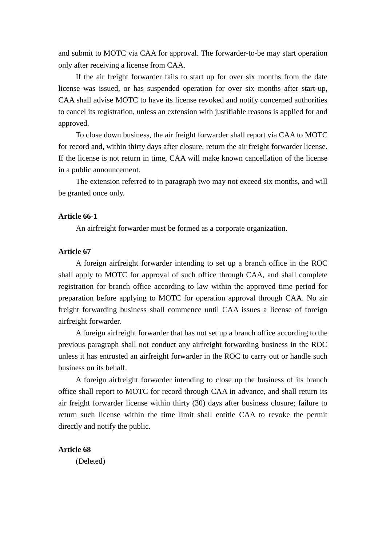and submit to MOTC via CAA for approval. The forwarder-to-be may start operation only after receiving a license from CAA.

If the air freight forwarder fails to start up for over six months from the date license was issued, or has suspended operation for over six months after start-up, CAA shall advise MOTC to have its license revoked and notify concerned authorities to cancel its registration, unless an extension with justifiable reasons is applied for and approved.

To close down business, the air freight forwarder shall report via CAA to MOTC for record and, within thirty days after closure, return the air freight forwarder license. If the license is not return in time, CAA will make known cancellation of the license in a public announcement.

The extension referred to in paragraph two may not exceed six months, and will be granted once only.

## **Article 66-1**

An airfreight forwarder must be formed as a corporate organization.

## **Article 67**

A foreign airfreight forwarder intending to set up a branch office in the ROC shall apply to MOTC for approval of such office through CAA, and shall complete registration for branch office according to law within the approved time period for preparation before applying to MOTC for operation approval through CAA. No air freight forwarding business shall commence until CAA issues a license of foreign airfreight forwarder.

A foreign airfreight forwarder that has not set up a branch office according to the previous paragraph shall not conduct any airfreight forwarding business in the ROC unless it has entrusted an airfreight forwarder in the ROC to carry out or handle such business on its behalf.

A foreign airfreight forwarder intending to close up the business of its branch office shall report to MOTC for record through CAA in advance, and shall return its air freight forwarder license within thirty (30) days after business closure; failure to return such license within the time limit shall entitle CAA to revoke the permit directly and notify the public.

## **Article 68**

(Deleted)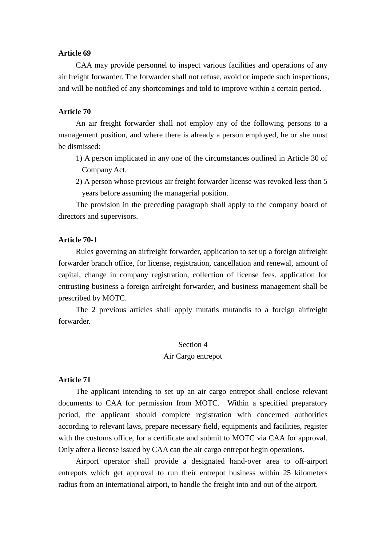## **Article 69**

CAA may provide personnel to inspect various facilities and operations of any air freight forwarder. The forwarder shall not refuse, avoid or impede such inspections, and will be notified of any shortcomings and told to improve within a certain period.

## **Article 70**

An air freight forwarder shall not employ any of the following persons to a management position, and where there is already a person employed, he or she must be dismissed:

- 1) A person implicated in any one of the circumstances outlined in Article 30 of Company Act.
- 2) A person whose previous air freight forwarder license was revoked less than 5 years before assuming the managerial position.

The provision in the preceding paragraph shall apply to the company board of directors and supervisors.

## **Article 70-1**

Rules governing an airfreight forwarder, application to set up a foreign airfreight forwarder branch office, for license, registration, cancellation and renewal, amount of capital, change in company registration, collection of license fees, application for entrusting business a foreign airfreight forwarder, and business management shall be prescribed by MOTC.

The 2 previous articles shall apply mutatis mutandis to a foreign airfreight forwarder.

## Section 4

#### Air Cargo entrepot

## **Article 71**

The applicant intending to set up an air cargo entrepot shall enclose relevant documents to CAA for permission from MOTC. Within a specified preparatory period, the applicant should complete registration with concerned authorities according to relevant laws, prepare necessary field, equipments and facilities, register with the customs office, for a certificate and submit to MOTC via CAA for approval. Only after a license issued by CAA can the air cargo entrepot begin operations.

Airport operator shall provide a designated hand-over area to off-airport entrepots which get approval to run their entrepot business within 25 kilometers radius from an international airport, to handle the freight into and out of the airport.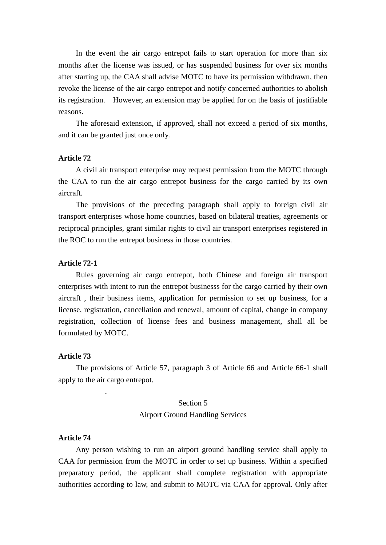In the event the air cargo entrepot fails to start operation for more than six months after the license was issued, or has suspended business for over six months after starting up, the CAA shall advise MOTC to have its permission withdrawn, then revoke the license of the air cargo entrepot and notify concerned authorities to abolish its registration. However, an extension may be applied for on the basis of justifiable reasons.

The aforesaid extension, if approved, shall not exceed a period of six months, and it can be granted just once only.

#### **Article 72**

A civil air transport enterprise may request permission from the MOTC through the CAA to run the air cargo entrepot business for the cargo carried by its own aircraft.

The provisions of the preceding paragraph shall apply to foreign civil air transport enterprises whose home countries, based on bilateral treaties, agreements or reciprocal principles, grant similar rights to civil air transport enterprises registered in the ROC to run the entrepot business in those countries.

## **Article 72-1**

Rules governing air cargo entrepot, both Chinese and foreign air transport enterprises with intent to run the entrepot businesss for the cargo carried by their own aircraft , their business items, application for permission to set up business, for a license, registration, cancellation and renewal, amount of capital, change in company registration, collection of license fees and business management, shall all be formulated by MOTC.

#### **Article 73**

.

The provisions of Article 57, paragraph 3 of Article 66 and Article 66-1 shall apply to the air cargo entrepot.

## Section 5 Airport Ground Handling Services

#### **Article 74**

Any person wishing to run an airport ground handling service shall apply to CAA for permission from the MOTC in order to set up business. Within a specified preparatory period, the applicant shall complete registration with appropriate authorities according to law, and submit to MOTC via CAA for approval. Only after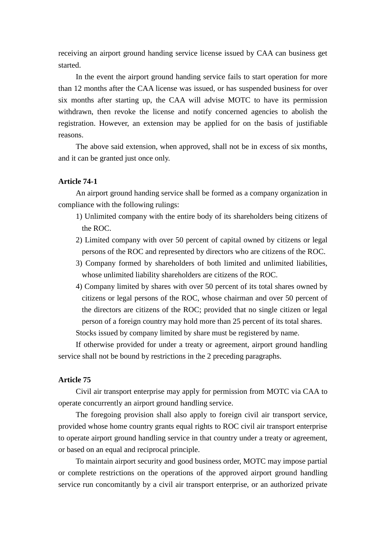receiving an airport ground handing service license issued by CAA can business get started.

In the event the airport ground handing service fails to start operation for more than 12 months after the CAA license was issued, or has suspended business for over six months after starting up, the CAA will advise MOTC to have its permission withdrawn, then revoke the license and notify concerned agencies to abolish the registration. However, an extension may be applied for on the basis of justifiable reasons.

The above said extension, when approved, shall not be in excess of six months, and it can be granted just once only.

## **Article 74-1**

An airport ground handing service shall be formed as a company organization in compliance with the following rulings:

- 1) Unlimited company with the entire body of its shareholders being citizens of the ROC.
- 2) Limited company with over 50 percent of capital owned by citizens or legal persons of the ROC and represented by directors who are citizens of the ROC.
- 3) Company formed by shareholders of both limited and unlimited liabilities, whose unlimited liability shareholders are citizens of the ROC.
- 4) Company limited by shares with over 50 percent of its total shares owned by citizens or legal persons of the ROC, whose chairman and over 50 percent of the directors are citizens of the ROC; provided that no single citizen or legal person of a foreign country may hold more than 25 percent of its total shares. Stocks issued by company limited by share must be registered by name.

If otherwise provided for under a treaty or agreement, airport ground handling service shall not be bound by restrictions in the 2 preceding paragraphs.

#### **Article 75**

Civil air transport enterprise may apply for permission from MOTC via CAA to operate concurrently an airport ground handling service.

The foregoing provision shall also apply to foreign civil air transport service, provided whose home country grants equal rights to ROC civil air transport enterprise to operate airport ground handling service in that country under a treaty or agreement, or based on an equal and reciprocal principle.

To maintain airport security and good business order, MOTC may impose partial or complete restrictions on the operations of the approved airport ground handling service run concomitantly by a civil air transport enterprise, or an authorized private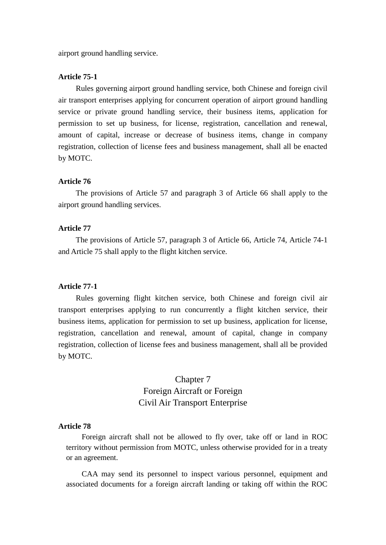airport ground handling service.

#### **Article 75-1**

Rules governing airport ground handling service, both Chinese and foreign civil air transport enterprises applying for concurrent operation of airport ground handling service or private ground handling service, their business items, application for permission to set up business, for license, registration, cancellation and renewal, amount of capital, increase or decrease of business items, change in company registration, collection of license fees and business management, shall all be enacted by MOTC.

## **Article 76**

The provisions of Article 57 and paragraph 3 of Article 66 shall apply to the airport ground handling services.

#### **Article 77**

The provisions of Article 57, paragraph 3 of Article 66, Article 74, Article 74-1 and Article 75 shall apply to the flight kitchen service.

#### **Article 77-1**

Rules governing flight kitchen service, both Chinese and foreign civil air transport enterprises applying to run concurrently a flight kitchen service, their business items, application for permission to set up business, application for license, registration, cancellation and renewal, amount of capital, change in company registration, collection of license fees and business management, shall all be provided by MOTC.

# Chapter 7 Foreign Aircraft or Foreign Civil Air Transport Enterprise

## **Article 78**

Foreign aircraft shall not be allowed to fly over, take off or land in ROC territory without permission from MOTC, unless otherwise provided for in a treaty or an agreement.

CAA may send its personnel to inspect various personnel, equipment and associated documents for a foreign aircraft landing or taking off within the ROC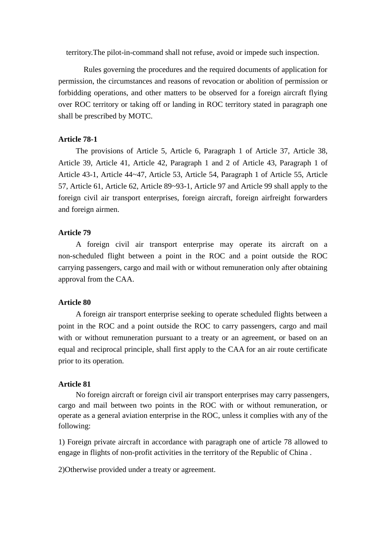territory.The pilot-in-command shall not refuse, avoid or impede such inspection.

 Rules governing the procedures and the required documents of application for permission, the circumstances and reasons of revocation or abolition of permission or forbidding operations, and other matters to be observed for a foreign aircraft flying over ROC territory or taking off or landing in ROC territory stated in paragraph one shall be prescribed by MOTC.

## **Article 78-1**

The provisions of Article 5, Article 6, Paragraph 1 of Article 37, Article 38, Article 39, Article 41, Article 42, Paragraph 1 and 2 of Article 43, Paragraph 1 of Article 43-1, Article 44~47, Article 53, Article 54, Paragraph 1 of Article 55, Article 57, Article 61, Article 62, Article 89~93-1, Article 97 and Article 99 shall apply to the foreign civil air transport enterprises, foreign aircraft, foreign airfreight forwarders and foreign airmen.

#### **Article 79**

A foreign civil air transport enterprise may operate its aircraft on a non-scheduled flight between a point in the ROC and a point outside the ROC carrying passengers, cargo and mail with or without remuneration only after obtaining approval from the CAA.

#### **Article 80**

A foreign air transport enterprise seeking to operate scheduled flights between a point in the ROC and a point outside the ROC to carry passengers, cargo and mail with or without remuneration pursuant to a treaty or an agreement, or based on an equal and reciprocal principle, shall first apply to the CAA for an air route certificate prior to its operation.

### **Article 81**

No foreign aircraft or foreign civil air transport enterprises may carry passengers, cargo and mail between two points in the ROC with or without remuneration, or operate as a general aviation enterprise in the ROC, unless it complies with any of the following:

1) Foreign private aircraft in accordance with paragraph one of article 78 allowed to engage in flights of non-profit activities in the territory of the Republic of China .

2)Otherwise provided under a treaty or agreement.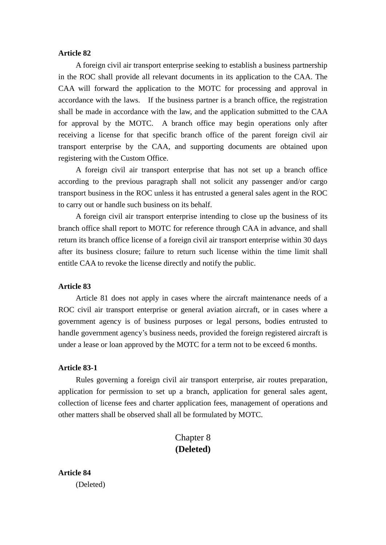### **Article 82**

A foreign civil air transport enterprise seeking to establish a business partnership in the ROC shall provide all relevant documents in its application to the CAA. The CAA will forward the application to the MOTC for processing and approval in accordance with the laws. If the business partner is a branch office, the registration shall be made in accordance with the law, and the application submitted to the CAA for approval by the MOTC. A branch office may begin operations only after receiving a license for that specific branch office of the parent foreign civil air transport enterprise by the CAA, and supporting documents are obtained upon registering with the Custom Office.

A foreign civil air transport enterprise that has not set up a branch office according to the previous paragraph shall not solicit any passenger and/or cargo transport business in the ROC unless it has entrusted a general sales agent in the ROC to carry out or handle such business on its behalf.

A foreign civil air transport enterprise intending to close up the business of its branch office shall report to MOTC for reference through CAA in advance, and shall return its branch office license of a foreign civil air transport enterprise within 30 days after its business closure; failure to return such license within the time limit shall entitle CAA to revoke the license directly and notify the public.

## **Article 83**

Article 81 does not apply in cases where the aircraft maintenance needs of a ROC civil air transport enterprise or general aviation aircraft, or in cases where a government agency is of business purposes or legal persons, bodies entrusted to handle government agency's business needs, provided the foreign registered aircraft is under a lease or loan approved by the MOTC for a term not to be exceed 6 months.

## **Article 83-1**

Rules governing a foreign civil air transport enterprise, air routes preparation, application for permission to set up a branch, application for general sales agent, collection of license fees and charter application fees, management of operations and other matters shall be observed shall all be formulated by MOTC.

# Chapter 8 **(Deleted)**

**Article 84** (Deleted)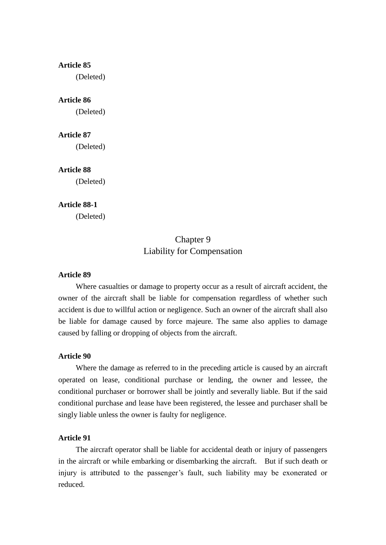## **Article 85**

(Deleted)

#### **Article 86**

(Deleted)

## **Article 87**

(Deleted)

## **Article 88**

(Deleted)

## **Article 88-1**

(Deleted)

# Chapter 9 Liability for Compensation

## **Article 89**

Where casualties or damage to property occur as a result of aircraft accident, the owner of the aircraft shall be liable for compensation regardless of whether such accident is due to willful action or negligence. Such an owner of the aircraft shall also be liable for damage caused by force majeure. The same also applies to damage caused by falling or dropping of objects from the aircraft.

### **Article 90**

Where the damage as referred to in the preceding article is caused by an aircraft operated on lease, conditional purchase or lending, the owner and lessee, the conditional purchaser or borrower shall be jointly and severally liable. But if the said conditional purchase and lease have been registered, the lessee and purchaser shall be singly liable unless the owner is faulty for negligence.

## **Article 91**

The aircraft operator shall be liable for accidental death or injury of passengers in the aircraft or while embarking or disembarking the aircraft. But if such death or injury is attributed to the passenger's fault, such liability may be exonerated or reduced.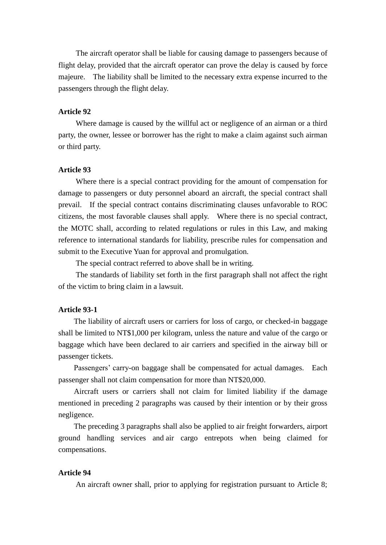The aircraft operator shall be liable for causing damage to passengers because of flight delay, provided that the aircraft operator can prove the delay is caused by force majeure. The liability shall be limited to the necessary extra expense incurred to the passengers through the flight delay.

## **Article 92**

Where damage is caused by the willful act or negligence of an airman or a third party, the owner, lessee or borrower has the right to make a claim against such airman or third party.

## **Article 93**

Where there is a special contract providing for the amount of compensation for damage to passengers or duty personnel aboard an aircraft, the special contract shall prevail. If the special contract contains discriminating clauses unfavorable to ROC citizens, the most favorable clauses shall apply. Where there is no special contract, the MOTC shall, according to related regulations or rules in this Law, and making reference to international standards for liability, prescribe rules for compensation and submit to the Executive Yuan for approval and promulgation.

The special contract referred to above shall be in writing.

The standards of liability set forth in the first paragraph shall not affect the right of the victim to bring claim in a lawsuit.

## **Article 93-1**

The liability of aircraft users or carriers for loss of cargo, or checked-in baggage shall be limited to NT\$1,000 per kilogram, unless the nature and value of the cargo or baggage which have been declared to air carriers and specified in the airway bill or passenger tickets.

Passengers' carry-on baggage shall be compensated for actual damages. Each passenger shall not claim compensation for more than NT\$20,000.

Aircraft users or carriers shall not claim for limited liability if the damage mentioned in preceding 2 paragraphs was caused by their intention or by their gross negligence.

The preceding 3 paragraphs shall also be applied to air freight forwarders, airport ground handling services and air cargo entrepots when being claimed for compensations.

## **Article 94**

An aircraft owner shall, prior to applying for registration pursuant to Article 8;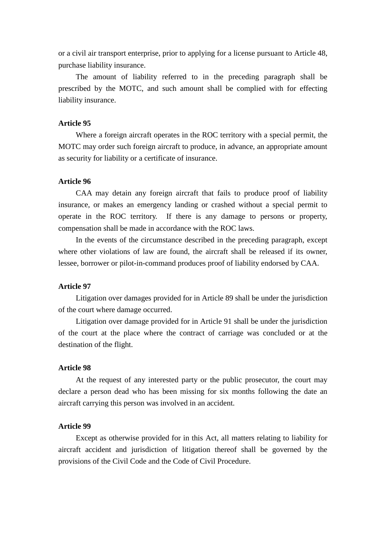or a civil air transport enterprise, prior to applying for a license pursuant to Article 48, purchase liability insurance.

The amount of liability referred to in the preceding paragraph shall be prescribed by the MOTC, and such amount shall be complied with for effecting liability insurance.

#### **Article 95**

Where a foreign aircraft operates in the ROC territory with a special permit, the MOTC may order such foreign aircraft to produce, in advance, an appropriate amount as security for liability or a certificate of insurance.

## **Article 96**

CAA may detain any foreign aircraft that fails to produce proof of liability insurance, or makes an emergency landing or crashed without a special permit to operate in the ROC territory. If there is any damage to persons or property, compensation shall be made in accordance with the ROC laws.

In the events of the circumstance described in the preceding paragraph, except where other violations of law are found, the aircraft shall be released if its owner, lessee, borrower or pilot-in-command produces proof of liability endorsed by CAA.

## **Article 97**

Litigation over damages provided for in Article 89 shall be under the jurisdiction of the court where damage occurred.

Litigation over damage provided for in Article 91 shall be under the jurisdiction of the court at the place where the contract of carriage was concluded or at the destination of the flight.

## **Article 98**

At the request of any interested party or the public prosecutor, the court may declare a person dead who has been missing for six months following the date an aircraft carrying this person was involved in an accident.

## **Article 99**

Except as otherwise provided for in this Act, all matters relating to liability for aircraft accident and jurisdiction of litigation thereof shall be governed by the provisions of the Civil Code and the Code of Civil Procedure.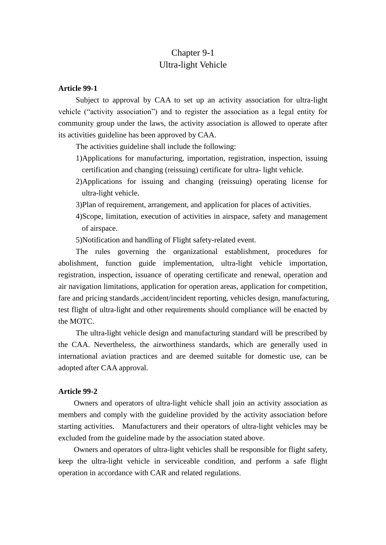## Chapter 9-1 Ultra-light Vehicle

#### **Article 99-1**

Subject to approval by CAA to set up an activity association for ultra-light vehicle ("activity association") and to register the association as a legal entity for community group under the laws, the activity association is allowed to operate after its activities guideline has been approved by CAA.

The activities guideline shall include the following:

- 1)Applications for manufacturing, importation, registration, inspection, issuing certification and changing (reissuing) certificate for ultra- light vehicle.
- 2)Applications for issuing and changing (reissuing) operating license for ultra-light vehicle.
- 3)Plan of requirement, arrangement, and application for places of activities.
- 4)Scope, limitation, execution of activities in airspace, safety and management of airspace.
- 5)Notification and handling of Flight safety-related event.

The rules governing the organizational establishment, procedures for abolishment, function guide implementation, ultra-light vehicle importation, registration, inspection, issuance of operating certificate and renewal, operation and air navigation limitations, application for operation areas, application for competition, fare and pricing standards ,accident/incident reporting, vehicles design, manufacturing, test flight of ultra-light and other requirements should compliance will be enacted by the MOTC.

The ultra-light vehicle design and manufacturing standard will be prescribed by the CAA. Nevertheless, the airworthiness standards, which are generally used in international aviation practices and are deemed suitable for domestic use, can be adopted after CAA approval.

#### **Article 99-2**

Owners and operators of ultra-light vehicle shall join an activity association as members and comply with the guideline provided by the activity association before starting activities. Manufacturers and their operators of ultra-light vehicles may be excluded from the guideline made by the association stated above.

Owners and operators of ultra-light vehicles shall be responsible for flight safety, keep the ultra-light vehicle in serviceable condition, and perform a safe flight operation in accordance with CAR and related regulations.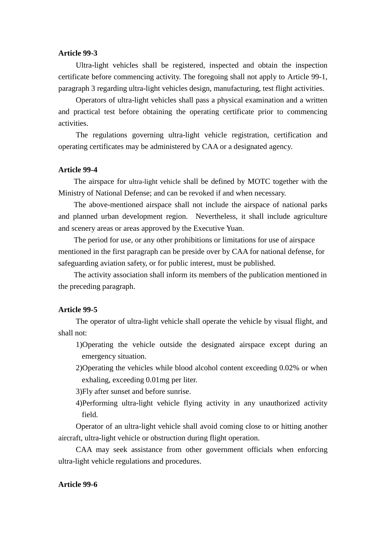## **Article 99-3**

Ultra-light vehicles shall be registered, inspected and obtain the inspection certificate before commencing activity. The foregoing shall not apply to Article 99-1, paragraph 3 regarding ultra-light vehicles design, manufacturing, test flight activities.

Operators of ultra-light vehicles shall pass a physical examination and a written and practical test before obtaining the operating certificate prior to commencing activities.

The regulations governing ultra-light vehicle registration, certification and operating certificates may be administered by CAA or a designated agency.

## **Article 99-4**

The airspace for ultra-light vehicle shall be defined by MOTC together with the Ministry of National Defense; and can be revoked if and when necessary.

The above-mentioned airspace shall not include the airspace of national parks and planned urban development region. Nevertheless, it shall include agriculture and scenery areas or areas approved by the Executive Yuan.

The period for use, or any other prohibitions or limitations for use of airspace mentioned in the first paragraph can be preside over by CAA for national defense, for safeguarding aviation safety, or for public interest, must be published.

The activity association shall inform its members of the publication mentioned in the preceding paragraph.

## **Article 99-5**

The operator of ultra-light vehicle shall operate the vehicle by visual flight, and shall not:

- 1)Operating the vehicle outside the designated airspace except during an emergency situation.
- 2)Operating the vehicles while blood alcohol content exceeding 0.02% or when exhaling, exceeding 0.01mg per liter.
- 3)Fly after sunset and before sunrise.
- 4)Performing ultra-light vehicle flying activity in any unauthorized activity field.

Operator of an ultra-light vehicle shall avoid coming close to or hitting another aircraft, ultra-light vehicle or obstruction during flight operation.

CAA may seek assistance from other government officials when enforcing ultra-light vehicle regulations and procedures.

## **Article 99-6**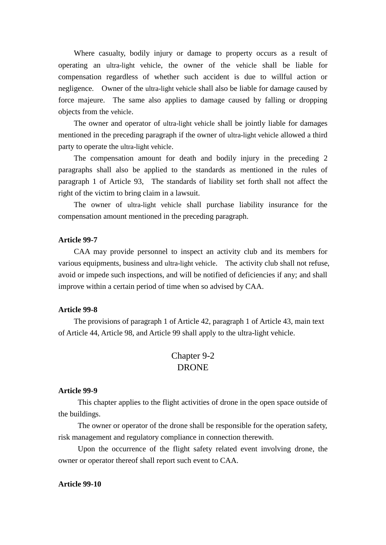Where casualty, bodily injury or damage to property occurs as a result of operating an ultra-light vehicle, the owner of the vehicle shall be liable for compensation regardless of whether such accident is due to willful action or negligence. Owner of the ultra-light vehicle shall also be liable for damage caused by force majeure. The same also applies to damage caused by falling or dropping objects from the vehicle.

The owner and operator of ultra-light vehicle shall be jointly liable for damages mentioned in the preceding paragraph if the owner of ultra-light vehicle allowed a third party to operate the ultra-light vehicle.

The compensation amount for death and bodily injury in the preceding 2 paragraphs shall also be applied to the standards as mentioned in the rules of paragraph 1 of Article 93, The standards of liability set forth shall not affect the right of the victim to bring claim in a lawsuit.

The owner of ultra-light vehicle shall purchase liability insurance for the compensation amount mentioned in the preceding paragraph.

## **Article 99-7**

CAA may provide personnel to inspect an activity club and its members for various equipments, business and ultra-light vehicle. The activity club shall not refuse, avoid or impede such inspections, and will be notified of deficiencies if any; and shall improve within a certain period of time when so advised by CAA.

## **Article 99-8**

The provisions of paragraph 1 of Article 42, paragraph 1 of Article 43, main text of Article 44, Article 98, and Article 99 shall apply to the ultra-light vehicle.

# Chapter 9-2 DRONE

#### **Article 99-9**

This chapter applies to the flight activities of drone in the open space outside of the buildings.

The owner or operator of the drone shall be responsible for the operation safety, risk management and regulatory compliance in connection therewith.

Upon the occurrence of the flight safety related event involving drone, the owner or operator thereof shall report such event to CAA.

#### **Article 99-10**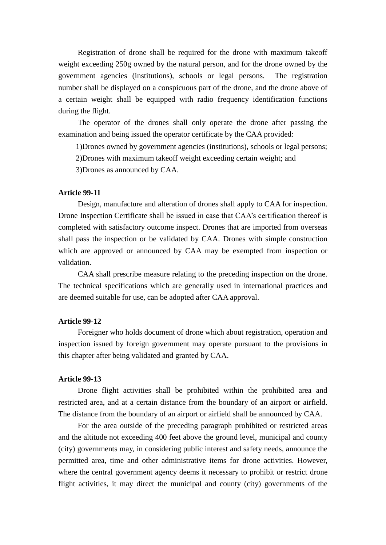Registration of drone shall be required for the drone with maximum takeoff weight exceeding 250g owned by the natural person, and for the drone owned by the government agencies (institutions), schools or legal persons. The registration number shall be displayed on a conspicuous part of the drone, and the drone above of a certain weight shall be equipped with radio frequency identification functions during the flight.

The operator of the drones shall only operate the drone after passing the examination and being issued the operator certificate by the CAA provided:

1)Drones owned by government agencies (institutions), schools or legal persons;

2)Drones with maximum takeoff weight exceeding certain weight; and

3)Drones as announced by CAA.

### **Article 99-11**

Design, manufacture and alteration of drones shall apply to CAA for inspection. Drone Inspection Certificate shall be issued in case that CAA's certification thereof is completed with satisfactory outcome inspect. Drones that are imported from overseas shall pass the inspection or be validated by CAA. Drones with simple construction which are approved or announced by CAA may be exempted from inspection or validation.

CAA shall prescribe measure relating to the preceding inspection on the drone. The technical specifications which are generally used in international practices and are deemed suitable for use, can be adopted after CAA approval.

#### **Article 99-12**

Foreigner who holds document of drone which about registration, operation and inspection issued by foreign government may operate pursuant to the provisions in this chapter after being validated and granted by CAA.

## **Article 99-13**

Drone flight activities shall be prohibited within the prohibited area and restricted area, and at a certain distance from the boundary of an airport or airfield. The distance from the boundary of an airport or airfield shall be announced by CAA.

For the area outside of the preceding paragraph prohibited or restricted areas and the altitude not exceeding 400 feet above the ground level, municipal and county (city) governments may, in considering public interest and safety needs, announce the permitted area, time and other administrative items for drone activities. However, where the central government agency deems it necessary to prohibit or restrict drone flight activities, it may direct the municipal and county (city) governments of the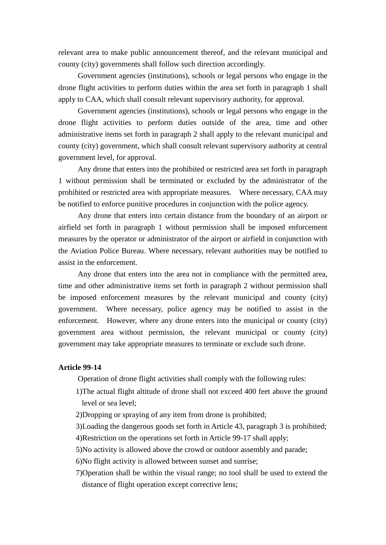relevant area to make public announcement thereof, and the relevant municipal and county (city) governments shall follow such direction accordingly.

Government agencies (institutions), schools or legal persons who engage in the drone flight activities to perform duties within the area set forth in paragraph 1 shall apply to CAA, which shall consult relevant supervisory authority, for approval.

Government agencies (institutions), schools or legal persons who engage in the drone flight activities to perform duties outside of the area, time and other administrative items set forth in paragraph 2 shall apply to the relevant municipal and county (city) government, which shall consult relevant supervisory authority at central government level, for approval.

Any drone that enters into the prohibited or restricted area set forth in paragraph 1 without permission shall be terminated or excluded by the administrator of the prohibited or restricted area with appropriate measures. Where necessary, CAA may be notified to enforce punitive procedures in conjunction with the police agency.

Any drone that enters into certain distance from the boundary of an airport or airfield set forth in paragraph 1 without permission shall be imposed enforcement measures by the operator or administrator of the airport or airfield in conjunction with the Aviation Police Bureau. Where necessary, relevant authorities may be notified to assist in the enforcement.

Any drone that enters into the area not in compliance with the permitted area, time and other administrative items set forth in paragraph 2 without permission shall be imposed enforcement measures by the relevant municipal and county (city) government. Where necessary, police agency may be notified to assist in the enforcement. However, where any drone enters into the municipal or county (city) government area without permission, the relevant municipal or county (city) government may take appropriate measures to terminate or exclude such drone.

## **Article 99-14**

Operation of drone flight activities shall comply with the following rules:

- 1)The actual flight altitude of drone shall not exceed 400 feet above the ground level or sea level;
- 2)Dropping or spraying of any item from drone is prohibited;
- 3)Loading the dangerous goods set forth in Article 43, paragraph 3 is prohibited;
- 4)Restriction on the operations set forth in Article 99-17 shall apply;
- 5)No activity is allowed above the crowd or outdoor assembly and parade;
- 6)No flight activity is allowed between sunset and sunrise;
- 7)Operation shall be within the visual range; no tool shall be used to extend the distance of flight operation except corrective lens;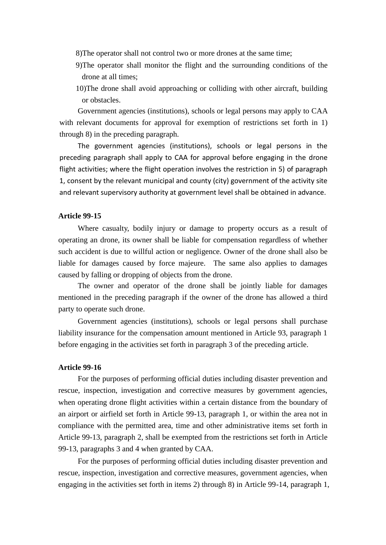8)The operator shall not control two or more drones at the same time;

- 9)The operator shall monitor the flight and the surrounding conditions of the drone at all times;
- 10)The drone shall avoid approaching or colliding with other aircraft, building or obstacles.

Government agencies (institutions), schools or legal persons may apply to CAA with relevant documents for approval for exemption of restrictions set forth in 1) through 8) in the preceding paragraph.

The government agencies (institutions), schools or legal persons in the preceding paragraph shall apply to CAA for approval before engaging in the drone flight activities; where the flight operation involves the restriction in 5) of paragraph 1, consent by the relevant municipal and county (city) government of the activity site and relevant supervisory authority at government level shall be obtained in advance.

## **Article 99-15**

Where casualty, bodily injury or damage to property occurs as a result of operating an drone, its owner shall be liable for compensation regardless of whether such accident is due to willful action or negligence. Owner of the drone shall also be liable for damages caused by force majeure. The same also applies to damages caused by falling or dropping of objects from the drone.

The owner and operator of the drone shall be jointly liable for damages mentioned in the preceding paragraph if the owner of the drone has allowed a third party to operate such drone.

Government agencies (institutions), schools or legal persons shall purchase liability insurance for the compensation amount mentioned in Article 93, paragraph 1 before engaging in the activities set forth in paragraph 3 of the preceding article.

#### **Article 99-16**

For the purposes of performing official duties including disaster prevention and rescue, inspection, investigation and corrective measures by government agencies, when operating drone flight activities within a certain distance from the boundary of an airport or airfield set forth in Article 99-13, paragraph 1, or within the area not in compliance with the permitted area, time and other administrative items set forth in Article 99-13, paragraph 2, shall be exempted from the restrictions set forth in Article 99-13, paragraphs 3 and 4 when granted by CAA.

For the purposes of performing official duties including disaster prevention and rescue, inspection, investigation and corrective measures, government agencies, when engaging in the activities set forth in items 2) through 8) in Article 99-14, paragraph 1,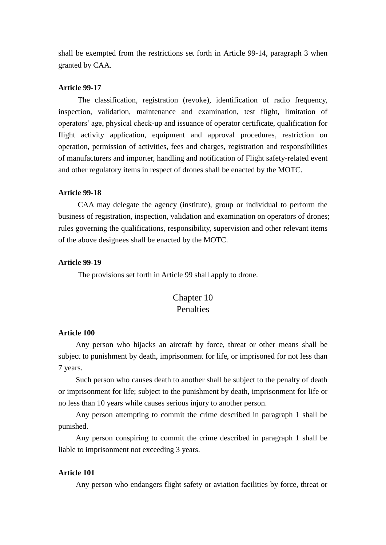shall be exempted from the restrictions set forth in Article 99-14, paragraph 3 when granted by CAA.

#### **Article 99-17**

The classification, registration (revoke), identification of radio frequency, inspection, validation, maintenance and examination, test flight, limitation of operators' age, physical check-up and issuance of operator certificate, qualification for flight activity application, equipment and approval procedures, restriction on operation, permission of activities, fees and charges, registration and responsibilities of manufacturers and importer, handling and notification of Flight safety-related event and other regulatory items in respect of drones shall be enacted by the MOTC.

### **Article 99-18**

CAA may delegate the agency (institute), group or individual to perform the business of registration, inspection, validation and examination on operators of drones; rules governing the qualifications, responsibility, supervision and other relevant items of the above designees shall be enacted by the MOTC.

## **Article 99-19**

The provisions set forth in Article 99 shall apply to drone.

## Chapter 10 Penalties

#### **Article 100**

Any person who hijacks an aircraft by force, threat or other means shall be subject to punishment by death, imprisonment for life, or imprisoned for not less than 7 years.

Such person who causes death to another shall be subject to the penalty of death or imprisonment for life; subject to the punishment by death, imprisonment for life or no less than 10 years while causes serious injury to another person.

Any person attempting to commit the crime described in paragraph 1 shall be punished.

Any person conspiring to commit the crime described in paragraph 1 shall be liable to imprisonment not exceeding 3 years.

## **Article 101**

Any person who endangers flight safety or aviation facilities by force, threat or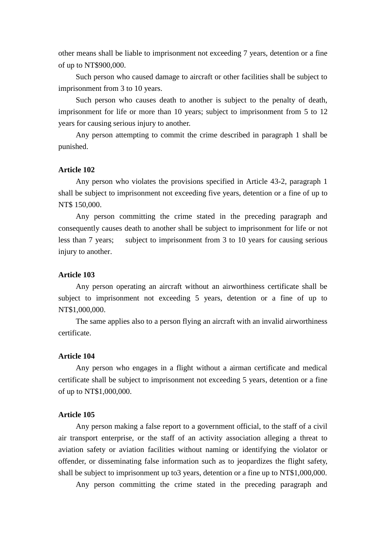other means shall be liable to imprisonment not exceeding 7 years, detention or a fine of up to NT\$900,000.

Such person who caused damage to aircraft or other facilities shall be subject to imprisonment from 3 to 10 years.

Such person who causes death to another is subject to the penalty of death, imprisonment for life or more than 10 years; subject to imprisonment from 5 to 12 years for causing serious injury to another.

Any person attempting to commit the crime described in paragraph 1 shall be punished.

## **Article 102**

Any person who violates the provisions specified in Article 43-2, paragraph 1 shall be subject to imprisonment not exceeding five years, detention or a fine of up to NT\$ 150,000.

Any person committing the crime stated in the preceding paragraph and consequently causes death to another shall be subject to imprisonment for life or not less than 7 years; subject to imprisonment from 3 to 10 years for causing serious injury to another.

## **Article 103**

Any person operating an aircraft without an airworthiness certificate shall be subject to imprisonment not exceeding 5 years, detention or a fine of up to NT\$1,000,000.

The same applies also to a person flying an aircraft with an invalid airworthiness certificate.

#### **Article 104**

Any person who engages in a flight without a airman certificate and medical certificate shall be subject to imprisonment not exceeding 5 years, detention or a fine of up to NT\$1,000,000.

## **Article 105**

Any person making a false report to a government official, to the staff of a civil air transport enterprise, or the staff of an activity association alleging a threat to aviation safety or aviation facilities without naming or identifying the violator or offender, or disseminating false information such as to jeopardizes the flight safety, shall be subject to imprisonment up to 3 years, detention or a fine up to NT\$1,000,000.

Any person committing the crime stated in the preceding paragraph and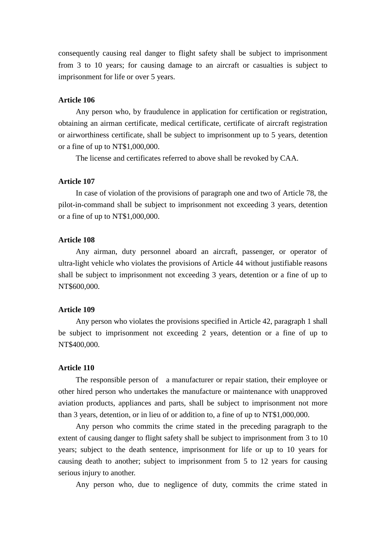consequently causing real danger to flight safety shall be subject to imprisonment from 3 to 10 years; for causing damage to an aircraft or casualties is subject to imprisonment for life or over 5 years.

#### **Article 106**

Any person who, by fraudulence in application for certification or registration, obtaining an airman certificate, medical certificate, certificate of aircraft registration or airworthiness certificate, shall be subject to imprisonment up to 5 years, detention or a fine of up to NT\$1,000,000.

The license and certificates referred to above shall be revoked by CAA.

## **Article 107**

In case of violation of the provisions of paragraph one and two of Article 78, the pilot-in-command shall be subject to imprisonment not exceeding 3 years, detention or a fine of up to NT\$1,000,000.

## **Article 108**

Any airman, duty personnel aboard an aircraft, passenger, or operator of ultra-light vehicle who violates the provisions of Article 44 without justifiable reasons shall be subject to imprisonment not exceeding 3 years, detention or a fine of up to NT\$600,000.

## **Article 109**

Any person who violates the provisions specified in Article 42, paragraph 1 shall be subject to imprisonment not exceeding 2 years, detention or a fine of up to NT\$400,000.

### **Article 110**

The responsible person of a manufacturer or repair station, their employee or other hired person who undertakes the manufacture or maintenance with unapproved aviation products, appliances and parts, shall be subject to imprisonment not more than 3 years, detention, or in lieu of or addition to, a fine of up to NT\$1,000,000.

Any person who commits the crime stated in the preceding paragraph to the extent of causing danger to flight safety shall be subject to imprisonment from 3 to 10 years; subject to the death sentence, imprisonment for life or up to 10 years for causing death to another; subject to imprisonment from 5 to 12 years for causing serious injury to another.

Any person who, due to negligence of duty, commits the crime stated in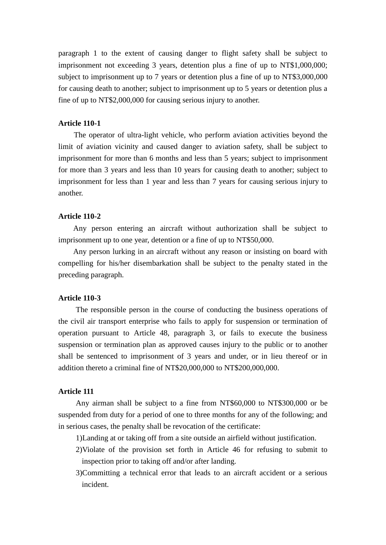paragraph 1 to the extent of causing danger to flight safety shall be subject to imprisonment not exceeding 3 years, detention plus a fine of up to NT\$1,000,000; subject to imprisonment up to 7 years or detention plus a fine of up to NT\$3,000,000 for causing death to another; subject to imprisonment up to 5 years or detention plus a fine of up to NT\$2,000,000 for causing serious injury to another.

#### **Article 110-1**

The operator of ultra-light vehicle, who perform aviation activities beyond the limit of aviation vicinity and caused danger to aviation safety, shall be subject to imprisonment for more than 6 months and less than 5 years; subject to imprisonment for more than 3 years and less than 10 years for causing death to another; subject to imprisonment for less than 1 year and less than 7 years for causing serious injury to another.

#### **Article 110-2**

Any person entering an aircraft without authorization shall be subject to imprisonment up to one year, detention or a fine of up to NT\$50,000.

Any person lurking in an aircraft without any reason or insisting on board with compelling for his/her disembarkation shall be subject to the penalty stated in the preceding paragraph.

### **Article 110-3**

The responsible person in the course of conducting the business operations of the civil air transport enterprise who fails to apply for suspension or termination of operation pursuant to Article 48, paragraph 3, or fails to execute the business suspension or termination plan as approved causes injury to the public or to another shall be sentenced to imprisonment of 3 years and under, or in lieu thereof or in addition thereto a criminal fine of NT\$20,000,000 to NT\$200,000,000.

#### **Article 111**

Any airman shall be subject to a fine from NT\$60,000 to NT\$300,000 or be suspended from duty for a period of one to three months for any of the following; and in serious cases, the penalty shall be revocation of the certificate:

- 1)Landing at or taking off from a site outside an airfield without justification.
- 2)Violate of the provision set forth in Article 46 for refusing to submit to inspection prior to taking off and/or after landing.
- 3)Committing a technical error that leads to an aircraft accident or a serious incident.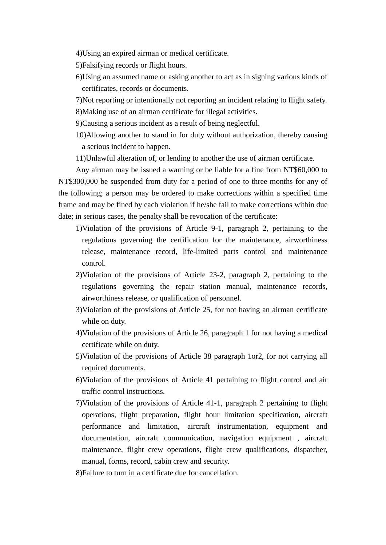4)Using an expired airman or medical certificate.

5)Falsifying records or flight hours.

- 6)Using an assumed name or asking another to act as in signing various kinds of certificates, records or documents.
- 7)Not reporting or intentionally not reporting an incident relating to flight safety. 8)Making use of an airman certificate for illegal activities.
- 9)Causing a serious incident as a result of being neglectful.
- 10)Allowing another to stand in for duty without authorization, thereby causing a serious incident to happen.

11)Unlawful alteration of, or lending to another the use of airman certificate.

Any airman may be issued a warning or be liable for a fine from NT\$60,000 to NT\$300,000 be suspended from duty for a period of one to three months for any of the following; a person may be ordered to make corrections within a specified time frame and may be fined by each violation if he/she fail to make corrections within due date; in serious cases, the penalty shall be revocation of the certificate:

- 1)Violation of the provisions of Article 9-1, paragraph 2, pertaining to the regulations governing the certification for the maintenance, airworthiness release, maintenance record, life-limited parts control and maintenance control.
- 2)Violation of the provisions of Article 23-2, paragraph 2, pertaining to the regulations governing the repair station manual, maintenance records, airworthiness release, or qualification of personnel.
- 3)Violation of the provisions of Article 25, for not having an airman certificate while on duty.
- 4)Violation of the provisions of Article 26, paragraph 1 for not having a medical certificate while on duty.
- 5)Violation of the provisions of Article 38 paragraph 1or2, for not carrying all required documents.
- 6)Violation of the provisions of Article 41 pertaining to flight control and air traffic control instructions.
- 7)Violation of the provisions of Article 41-1, paragraph 2 pertaining to flight operations, flight preparation, flight hour limitation specification, aircraft performance and limitation, aircraft instrumentation, equipment and documentation, aircraft communication, navigation equipment , aircraft maintenance, flight crew operations, flight crew qualifications, dispatcher, manual, forms, record, cabin crew and security.
- 8)Failure to turn in a certificate due for cancellation.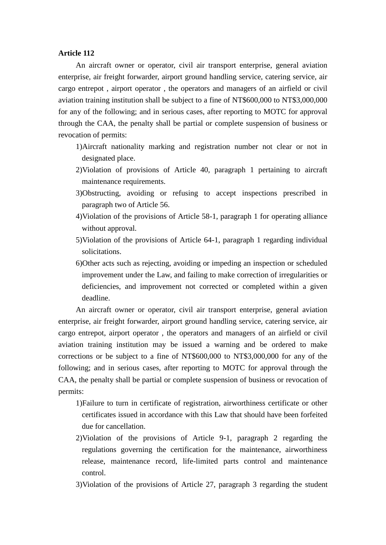## **Article 112**

An aircraft owner or operator, civil air transport enterprise, general aviation enterprise, air freight forwarder, airport ground handling service, catering service, air cargo entrepot , airport operator , the operators and managers of an airfield or civil aviation training institution shall be subject to a fine of NT\$600,000 to NT\$3,000,000 for any of the following; and in serious cases, after reporting to MOTC for approval through the CAA, the penalty shall be partial or complete suspension of business or revocation of permits:

- 1)Aircraft nationality marking and registration number not clear or not in designated place.
- 2)Violation of provisions of Article 40, paragraph 1 pertaining to aircraft maintenance requirements.
- 3)Obstructing, avoiding or refusing to accept inspections prescribed in paragraph two of Article 56.
- 4)Violation of the provisions of Article 58-1, paragraph 1 for operating alliance without approval.
- 5)Violation of the provisions of Article 64-1, paragraph 1 regarding individual solicitations.
- 6)Other acts such as rejecting, avoiding or impeding an inspection or scheduled improvement under the Law, and failing to make correction of irregularities or deficiencies, and improvement not corrected or completed within a given deadline.

An aircraft owner or operator, civil air transport enterprise, general aviation enterprise, air freight forwarder, airport ground handling service, catering service, air cargo entrepot, airport operator , the operators and managers of an airfield or civil aviation training institution may be issued a warning and be ordered to make corrections or be subject to a fine of NT\$600,000 to NT\$3,000,000 for any of the following; and in serious cases, after reporting to MOTC for approval through the CAA, the penalty shall be partial or complete suspension of business or revocation of permits:

- 1)Failure to turn in certificate of registration, airworthiness certificate or other certificates issued in accordance with this Law that should have been forfeited due for cancellation.
- 2)Violation of the provisions of Article 9-1, paragraph 2 regarding the regulations governing the certification for the maintenance, airworthiness release, maintenance record, life-limited parts control and maintenance control.
- 3)Violation of the provisions of Article 27, paragraph 3 regarding the student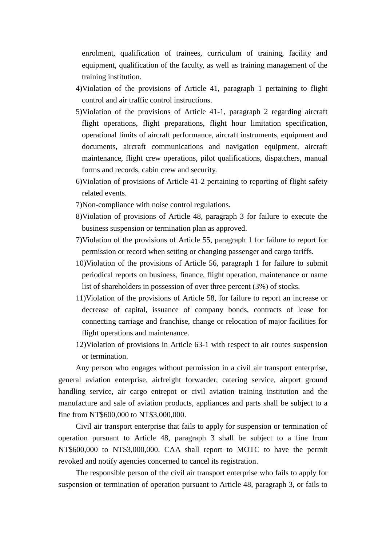enrolment, qualification of trainees, curriculum of training, facility and equipment, qualification of the faculty, as well as training management of the training institution.

- 4)Violation of the provisions of Article 41, paragraph 1 pertaining to flight control and air traffic control instructions.
- 5)Violation of the provisions of Article 41-1, paragraph 2 regarding aircraft flight operations, flight preparations, flight hour limitation specification, operational limits of aircraft performance, aircraft instruments, equipment and documents, aircraft communications and navigation equipment, aircraft maintenance, flight crew operations, pilot qualifications, dispatchers, manual forms and records, cabin crew and security.
- 6)Violation of provisions of Article 41-2 pertaining to reporting of flight safety related events.
- 7)Non-compliance with noise control regulations.
- 8)Violation of provisions of Article 48, paragraph 3 for failure to execute the business suspension or termination plan as approved.
- 7)Violation of the provisions of Article 55, paragraph 1 for failure to report for permission or record when setting or changing passenger and cargo tariffs.
- 10)Violation of the provisions of Article 56, paragraph 1 for failure to submit periodical reports on business, finance, flight operation, maintenance or name list of shareholders in possession of over three percent (3%) of stocks.
- 11)Violation of the provisions of Article 58, for failure to report an increase or decrease of capital, issuance of company bonds, contracts of lease for connecting carriage and franchise, change or relocation of major facilities for flight operations and maintenance.
- 12)Violation of provisions in Article 63-1 with respect to air routes suspension or termination.

Any person who engages without permission in a civil air transport enterprise, general aviation enterprise, airfreight forwarder, catering service, airport ground handling service, air cargo entrepot or civil aviation training institution and the manufacture and sale of aviation products, appliances and parts shall be subject to a fine from NT\$600,000 to NT\$3,000,000.

Civil air transport enterprise that fails to apply for suspension or termination of operation pursuant to Article 48, paragraph 3 shall be subject to a fine from NT\$600,000 to NT\$3,000,000. CAA shall report to MOTC to have the permit revoked and notify agencies concerned to cancel its registration.

The responsible person of the civil air transport enterprise who fails to apply for suspension or termination of operation pursuant to Article 48, paragraph 3, or fails to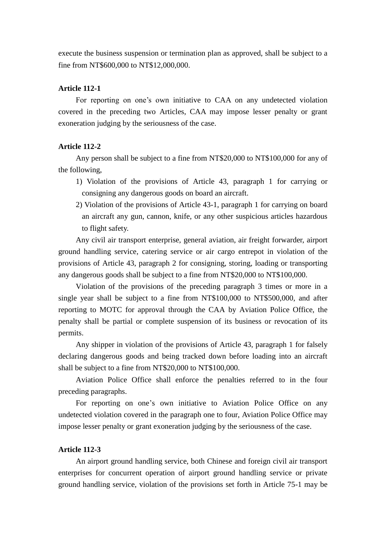execute the business suspension or termination plan as approved, shall be subject to a fine from NT\$600,000 to NT\$12,000,000.

## **Article 112-1**

For reporting on one's own initiative to CAA on any undetected violation covered in the preceding two Articles, CAA may impose lesser penalty or grant exoneration judging by the seriousness of the case.

#### **Article 112-2**

Any person shall be subject to a fine from NT\$20,000 to NT\$100,000 for any of the following,

- 1) Violation of the provisions of Article 43, paragraph 1 for carrying or consigning any dangerous goods on board an aircraft.
- 2) Violation of the provisions of Article 43-1, paragraph 1 for carrying on board an aircraft any gun, cannon, knife, or any other suspicious articles hazardous to flight safety.

Any civil air transport enterprise, general aviation, air freight forwarder, airport ground handling service, catering service or air cargo entrepot in violation of the provisions of Article 43, paragraph 2 for consigning, storing, loading or transporting any dangerous goods shall be subject to a fine from NT\$20,000 to NT\$100,000.

Violation of the provisions of the preceding paragraph 3 times or more in a single year shall be subject to a fine from NT\$100,000 to NT\$500,000, and after reporting to MOTC for approval through the CAA by Aviation Police Office, the penalty shall be partial or complete suspension of its business or revocation of its permits.

Any shipper in violation of the provisions of Article 43, paragraph 1 for falsely declaring dangerous goods and being tracked down before loading into an aircraft shall be subject to a fine from NT\$20,000 to NT\$100,000.

Aviation Police Office shall enforce the penalties referred to in the four preceding paragraphs.

For reporting on one's own initiative to Aviation Police Office on any undetected violation covered in the paragraph one to four, Aviation Police Office may impose lesser penalty or grant exoneration judging by the seriousness of the case.

## **Article 112-3**

An airport ground handling service, both Chinese and foreign civil air transport enterprises for concurrent operation of airport ground handling service or private ground handling service, violation of the provisions set forth in Article 75-1 may be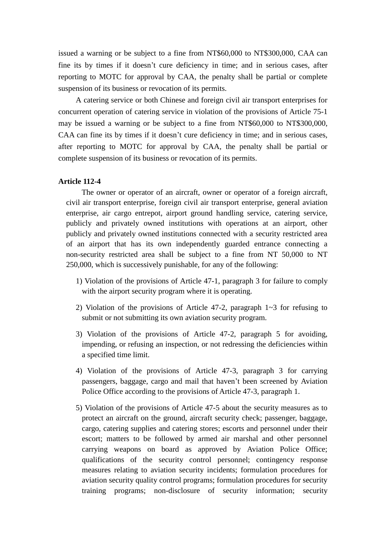issued a warning or be subject to a fine from NT\$60,000 to NT\$300,000, CAA can fine its by times if it doesn't cure deficiency in time; and in serious cases, after reporting to MOTC for approval by CAA, the penalty shall be partial or complete suspension of its business or revocation of its permits.

A catering service or both Chinese and foreign civil air transport enterprises for concurrent operation of catering service in violation of the provisions of Article 75-1 may be issued a warning or be subject to a fine from NT\$60,000 to NT\$300,000, CAA can fine its by times if it doesn't cure deficiency in time; and in serious cases, after reporting to MOTC for approval by CAA, the penalty shall be partial or complete suspension of its business or revocation of its permits.

## **Article 112-4**

The owner or operator of an aircraft, owner or operator of a foreign aircraft, civil air transport enterprise, foreign civil air transport enterprise, general aviation enterprise, air cargo entrepot, airport ground handling service, catering service, publicly and privately owned institutions with operations at an airport, other publicly and privately owned institutions connected with a security restricted area of an airport that has its own independently guarded entrance connecting a non-security restricted area shall be subject to a fine from NT 50,000 to NT 250,000, which is successively punishable, for any of the following:

- 1) Violation of the provisions of Article 47-1, paragraph 3 for failure to comply with the airport security program where it is operating.
- 2) Violation of the provisions of Article 47-2, paragraph 1~3 for refusing to submit or not submitting its own aviation security program.
- 3) Violation of the provisions of Article 47-2, paragraph 5 for avoiding, impending, or refusing an inspection, or not redressing the deficiencies within a specified time limit.
- 4) Violation of the provisions of Article 47-3, paragraph 3 for carrying passengers, baggage, cargo and mail that haven't been screened by Aviation Police Office according to the provisions of Article 47-3, paragraph 1.
- 5) Violation of the provisions of Article 47-5 about the security measures as to protect an aircraft on the ground, aircraft security check; passenger, baggage, cargo, catering supplies and catering stores; escorts and personnel under their escort; matters to be followed by armed air marshal and other personnel carrying weapons on board as approved by Aviation Police Office; qualifications of the security control personnel; contingency response measures relating to aviation security incidents; formulation procedures for aviation security quality control programs; formulation procedures for security training programs; non-disclosure of security information; security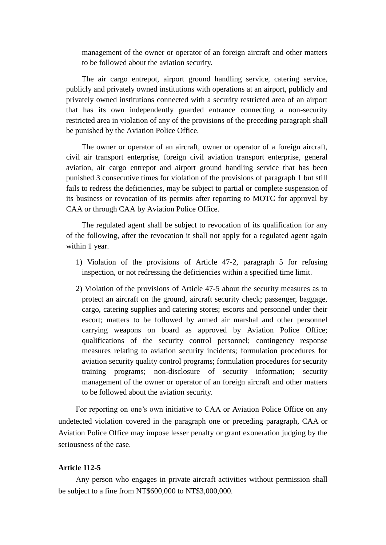management of the owner or operator of an foreign aircraft and other matters to be followed about the aviation security.

The air cargo entrepot, airport ground handling service, catering service, publicly and privately owned institutions with operations at an airport, publicly and privately owned institutions connected with a security restricted area of an airport that has its own independently guarded entrance connecting a non-security restricted area in violation of any of the provisions of the preceding paragraph shall be punished by the Aviation Police Office.

The owner or operator of an aircraft, owner or operator of a foreign aircraft, civil air transport enterprise, foreign civil aviation transport enterprise, general aviation, air cargo entrepot and airport ground handling service that has been punished 3 consecutive times for violation of the provisions of paragraph 1 but still fails to redress the deficiencies, may be subject to partial or complete suspension of its business or revocation of its permits after reporting to MOTC for approval by CAA or through CAA by Aviation Police Office.

The regulated agent shall be subject to revocation of its qualification for any of the following, after the revocation it shall not apply for a regulated agent again within 1 year.

- 1) Violation of the provisions of Article 47-2, paragraph 5 for refusing inspection, or not redressing the deficiencies within a specified time limit.
- 2) Violation of the provisions of Article 47-5 about the security measures as to protect an aircraft on the ground, aircraft security check; passenger, baggage, cargo, catering supplies and catering stores; escorts and personnel under their escort; matters to be followed by armed air marshal and other personnel carrying weapons on board as approved by Aviation Police Office; qualifications of the security control personnel; contingency response measures relating to aviation security incidents; formulation procedures for aviation security quality control programs; formulation procedures for security training programs; non-disclosure of security information; security management of the owner or operator of an foreign aircraft and other matters to be followed about the aviation security.

For reporting on one's own initiative to CAA or Aviation Police Office on any undetected violation covered in the paragraph one or preceding paragraph, CAA or Aviation Police Office may impose lesser penalty or grant exoneration judging by the seriousness of the case.

## **Article 112-5**

Any person who engages in private aircraft activities without permission shall be subject to a fine from NT\$600,000 to NT\$3,000,000.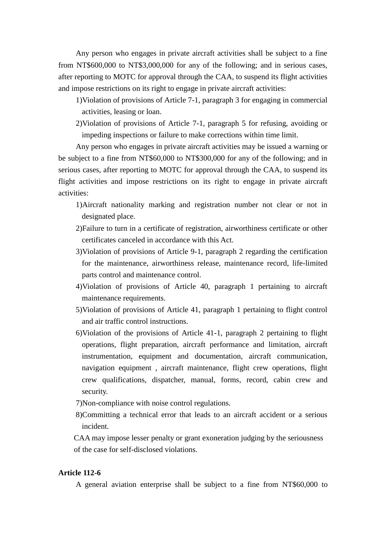Any person who engages in private aircraft activities shall be subject to a fine from NT\$600,000 to NT\$3,000,000 for any of the following; and in serious cases, after reporting to MOTC for approval through the CAA, to suspend its flight activities and impose restrictions on its right to engage in private aircraft activities:

- 1)Violation of provisions of Article 7-1, paragraph 3 for engaging in commercial activities, leasing or loan.
- 2)Violation of provisions of Article 7-1, paragraph 5 for refusing, avoiding or impeding inspections or failure to make corrections within time limit.

Any person who engages in private aircraft activities may be issued a warning or be subject to a fine from NT\$60,000 to NT\$300,000 for any of the following; and in serious cases, after reporting to MOTC for approval through the CAA, to suspend its flight activities and impose restrictions on its right to engage in private aircraft activities:

- 1)Aircraft nationality marking and registration number not clear or not in designated place.
- 2)Failure to turn in a certificate of registration, airworthiness certificate or other certificates canceled in accordance with this Act.
- 3)Violation of provisions of Article 9-1, paragraph 2 regarding the certification for the maintenance, airworthiness release, maintenance record, life-limited parts control and maintenance control.
- 4)Violation of provisions of Article 40, paragraph 1 pertaining to aircraft maintenance requirements.
- 5)Violation of provisions of Article 41, paragraph 1 pertaining to flight control and air traffic control instructions.
- 6)Violation of the provisions of Article 41-1, paragraph 2 pertaining to flight operations, flight preparation, aircraft performance and limitation, aircraft instrumentation, equipment and documentation, aircraft communication, navigation equipment , aircraft maintenance, flight crew operations, flight crew qualifications, dispatcher, manual, forms, record, cabin crew and security.
- 7)Non-compliance with noise control regulations.
- 8)Committing a technical error that leads to an aircraft accident or a serious incident.

CAA may impose lesser penalty or grant exoneration judging by the seriousness of the case for self-disclosed violations.

## **Article 112-6**

A general aviation enterprise shall be subject to a fine from NT\$60,000 to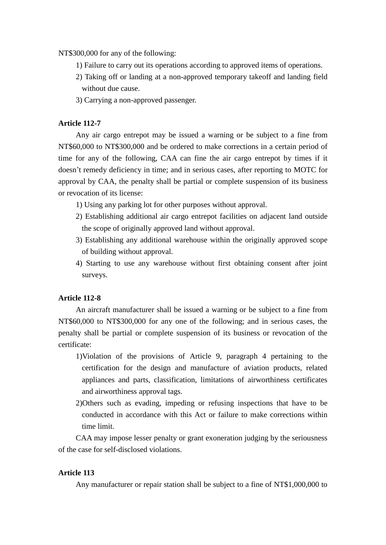NT\$300,000 for any of the following:

- 1) Failure to carry out its operations according to approved items of operations.
- 2) Taking off or landing at a non-approved temporary takeoff and landing field without due cause.
- 3) Carrying a non-approved passenger.

## **Article 112-7**

Any air cargo entrepot may be issued a warning or be subject to a fine from NT\$60,000 to NT\$300,000 and be ordered to make corrections in a certain period of time for any of the following, CAA can fine the air cargo entrepot by times if it doesn't remedy deficiency in time; and in serious cases, after reporting to MOTC for approval by CAA, the penalty shall be partial or complete suspension of its business or revocation of its license:

- 1) Using any parking lot for other purposes without approval.
- 2) Establishing additional air cargo entrepot facilities on adjacent land outside the scope of originally approved land without approval.
- 3) Establishing any additional warehouse within the originally approved scope of building without approval.
- 4) Starting to use any warehouse without first obtaining consent after joint surveys.

## **Article 112-8**

An aircraft manufacturer shall be issued a warning or be subject to a fine from NT\$60,000 to NT\$300,000 for any one of the following; and in serious cases, the penalty shall be partial or complete suspension of its business or revocation of the certificate:

- 1)Violation of the provisions of Article 9, paragraph 4 pertaining to the certification for the design and manufacture of aviation products, related appliances and parts, classification, limitations of airworthiness certificates and airworthiness approval tags.
- 2)Others such as evading, impeding or refusing inspections that have to be conducted in accordance with this Act or failure to make corrections within time limit.

CAA may impose lesser penalty or grant exoneration judging by the seriousness of the case for self-disclosed violations.

#### **Article 113**

Any manufacturer or repair station shall be subject to a fine of NT\$1,000,000 to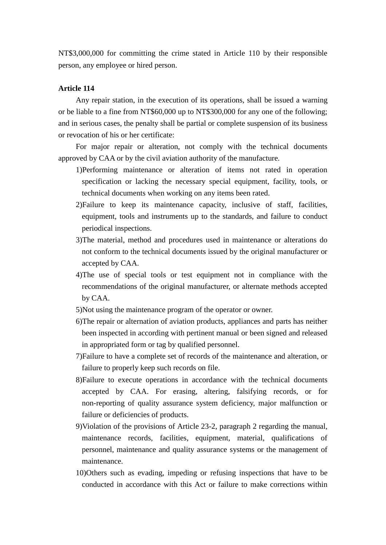NT\$3,000,000 for committing the crime stated in Article 110 by their responsible person, any employee or hired person.

## **Article 114**

Any repair station, in the execution of its operations, shall be issued a warning or be liable to a fine from NT\$60,000 up to NT\$300,000 for any one of the following; and in serious cases, the penalty shall be partial or complete suspension of its business or revocation of his or her certificate:

For major repair or alteration, not comply with the technical documents approved by CAA or by the civil aviation authority of the manufacture.

- 1)Performing maintenance or alteration of items not rated in operation specification or lacking the necessary special equipment, facility, tools, or technical documents when working on any items been rated.
- 2)Failure to keep its maintenance capacity, inclusive of staff, facilities, equipment, tools and instruments up to the standards, and failure to conduct periodical inspections.
- 3)The material, method and procedures used in maintenance or alterations do not conform to the technical documents issued by the original manufacturer or accepted by CAA.
- 4)The use of special tools or test equipment not in compliance with the recommendations of the original manufacturer, or alternate methods accepted by CAA.
- 5)Not using the maintenance program of the operator or owner.
- 6)The repair or alternation of aviation products, appliances and parts has neither been inspected in according with pertinent manual or been signed and released in appropriated form or tag by qualified personnel.
- 7)Failure to have a complete set of records of the maintenance and alteration, or failure to properly keep such records on file.
- 8)Failure to execute operations in accordance with the technical documents accepted by CAA. For erasing, altering, falsifying records, or for non-reporting of quality assurance system deficiency, major malfunction or failure or deficiencies of products.
- 9)Violation of the provisions of Article 23-2, paragraph 2 regarding the manual, maintenance records, facilities, equipment, material, qualifications of personnel, maintenance and quality assurance systems or the management of maintenance.
- 10)Others such as evading, impeding or refusing inspections that have to be conducted in accordance with this Act or failure to make corrections within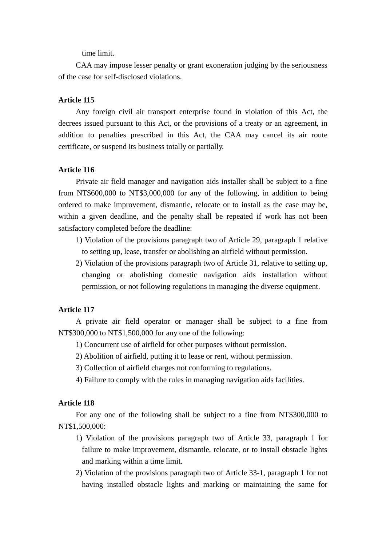time limit.

CAA may impose lesser penalty or grant exoneration judging by the seriousness of the case for self-disclosed violations.

### **Article 115**

Any foreign civil air transport enterprise found in violation of this Act, the decrees issued pursuant to this Act, or the provisions of a treaty or an agreement, in addition to penalties prescribed in this Act, the CAA may cancel its air route certificate, or suspend its business totally or partially.

## **Article 116**

Private air field manager and navigation aids installer shall be subject to a fine from NT\$600,000 to NT\$3,000,000 for any of the following, in addition to being ordered to make improvement, dismantle, relocate or to install as the case may be, within a given deadline, and the penalty shall be repeated if work has not been satisfactory completed before the deadline:

- 1) Violation of the provisions paragraph two of Article 29, paragraph 1 relative to setting up, lease, transfer or abolishing an airfield without permission.
- 2) Violation of the provisions paragraph two of Article 31, relative to setting up, changing or abolishing domestic navigation aids installation without permission, or not following regulations in managing the diverse equipment.

## **Article 117**

A private air field operator or manager shall be subject to a fine from NT\$300,000 to NT\$1,500,000 for any one of the following:

- 1) Concurrent use of airfield for other purposes without permission.
- 2) Abolition of airfield, putting it to lease or rent, without permission.
- 3) Collection of airfield charges not conforming to regulations.
- 4) Failure to comply with the rules in managing navigation aids facilities.

#### **Article 118**

For any one of the following shall be subject to a fine from NT\$300,000 to NT\$1,500,000:

- 1) Violation of the provisions paragraph two of Article 33, paragraph 1 for failure to make improvement, dismantle, relocate, or to install obstacle lights and marking within a time limit.
- 2) Violation of the provisions paragraph two of Article 33-1, paragraph 1 for not having installed obstacle lights and marking or maintaining the same for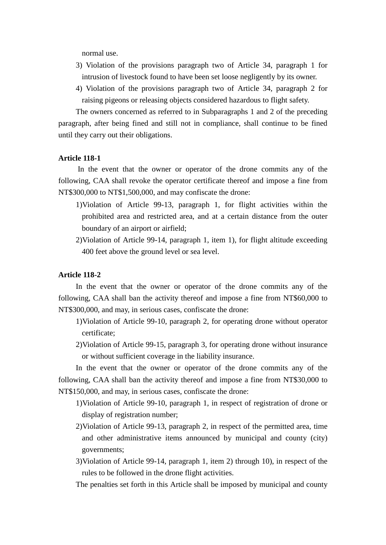normal use.

- 3) Violation of the provisions paragraph two of Article 34, paragraph 1 for intrusion of livestock found to have been set loose negligently by its owner.
- 4) Violation of the provisions paragraph two of Article 34, paragraph 2 for raising pigeons or releasing objects considered hazardous to flight safety.

The owners concerned as referred to in Subparagraphs 1 and 2 of the preceding paragraph, after being fined and still not in compliance, shall continue to be fined until they carry out their obligations.

### **Article 118-1**

In the event that the owner or operator of the drone commits any of the following, CAA shall revoke the operator certificate thereof and impose a fine from NT\$300,000 to NT\$1,500,000, and may confiscate the drone:

- 1)Violation of Article 99-13, paragraph 1, for flight activities within the prohibited area and restricted area, and at a certain distance from the outer boundary of an airport or airfield;
- 2)Violation of Article 99-14, paragraph 1, item 1), for flight altitude exceeding 400 feet above the ground level or sea level.

## **Article 118-2**

In the event that the owner or operator of the drone commits any of the following, CAA shall ban the activity thereof and impose a fine from NT\$60,000 to NT\$300,000, and may, in serious cases, confiscate the drone:

- 1)Violation of Article 99-10, paragraph 2, for operating drone without operator certificate;
- 2)Violation of Article 99-15, paragraph 3, for operating drone without insurance or without sufficient coverage in the liability insurance.

In the event that the owner or operator of the drone commits any of the following, CAA shall ban the activity thereof and impose a fine from NT\$30,000 to NT\$150,000, and may, in serious cases, confiscate the drone:

- 1)Violation of Article 99-10, paragraph 1, in respect of registration of drone or display of registration number;
- 2)Violation of Article 99-13, paragraph 2, in respect of the permitted area, time and other administrative items announced by municipal and county (city) governments;
- 3)Violation of Article 99-14, paragraph 1, item 2) through 10), in respect of the rules to be followed in the drone flight activities.
- The penalties set forth in this Article shall be imposed by municipal and county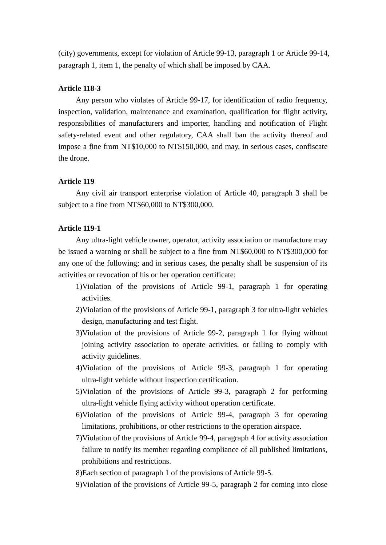(city) governments, except for violation of Article 99-13, paragraph 1 or Article 99-14, paragraph 1, item 1, the penalty of which shall be imposed by CAA.

## **Article 118-3**

Any person who violates of Article 99-17, for identification of radio frequency, inspection, validation, maintenance and examination, qualification for flight activity, responsibilities of manufacturers and importer, handling and notification of Flight safety-related event and other regulatory, CAA shall ban the activity thereof and impose a fine from NT\$10,000 to NT\$150,000, and may, in serious cases, confiscate the drone.

## **Article 119**

Any civil air transport enterprise violation of Article 40, paragraph 3 shall be subject to a fine from NT\$60,000 to NT\$300,000.

## **Article 119-1**

Any ultra-light vehicle owner, operator, activity association or manufacture may be issued a warning or shall be subject to a fine from NT\$60,000 to NT\$300,000 for any one of the following; and in serious cases, the penalty shall be suspension of its activities or revocation of his or her operation certificate:

- 1)Violation of the provisions of Article 99-1, paragraph 1 for operating activities.
- 2)Violation of the provisions of Article 99-1, paragraph 3 for ultra-light vehicles design, manufacturing and test flight.
- 3)Violation of the provisions of Article 99-2, paragraph 1 for flying without joining activity association to operate activities, or failing to comply with activity guidelines.
- 4)Violation of the provisions of Article 99-3, paragraph 1 for operating ultra-light vehicle without inspection certification.
- 5)Violation of the provisions of Article 99-3, paragraph 2 for performing ultra-light vehicle flying activity without operation certificate.
- 6)Violation of the provisions of Article 99-4, paragraph 3 for operating limitations, prohibitions, or other restrictions to the operation airspace.
- 7)Violation of the provisions of Article 99-4, paragraph 4 for activity association failure to notify its member regarding compliance of all published limitations, prohibitions and restrictions.

8)Each section of paragraph 1 of the provisions of Article 99-5.

9)Violation of the provisions of Article 99-5, paragraph 2 for coming into close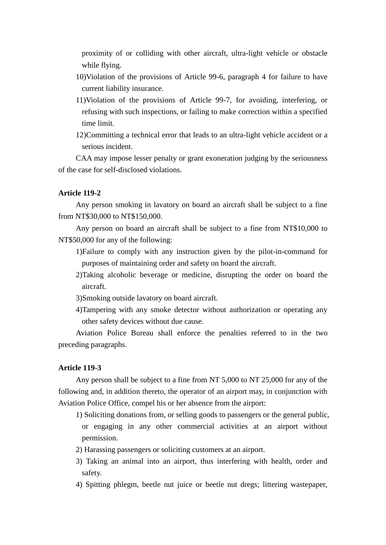proximity of or colliding with other aircraft, ultra-light vehicle or obstacle while flying.

- 10)Violation of the provisions of Article 99-6, paragraph 4 for failure to have current liability insurance.
- 11)Violation of the provisions of Article 99-7, for avoiding, interfering, or refusing with such inspections, or failing to make correction within a specified time limit.
- 12)Committing a technical error that leads to an ultra-light vehicle accident or a serious incident.

CAA may impose lesser penalty or grant exoneration judging by the seriousness of the case for self-disclosed violations.

## **Article 119-2**

Any person smoking in lavatory on board an aircraft shall be subject to a fine from NT\$30,000 to NT\$150,000.

Any person on board an aircraft shall be subject to a fine from NT\$10,000 to NT\$50,000 for any of the following:

- 1)Failure to comply with any instruction given by the pilot-in-command for purposes of maintaining order and safety on board the aircraft.
- 2)Taking alcoholic beverage or medicine, disrupting the order on board the aircraft.
- 3)Smoking outside lavatory on board aircraft.
- 4)Tampering with any smoke detector without authorization or operating any other safety devices without due cause.

Aviation Police Bureau shall enforce the penalties referred to in the two preceding paragraphs.

## **Article 119-3**

Any person shall be subject to a fine from NT 5,000 to NT 25,000 for any of the following and, in addition thereto, the operator of an airport may, in conjunction with Aviation Police Office, compel his or her absence from the airport:

- 1) Soliciting donations from, or selling goods to passengers or the general public, or engaging in any other commercial activities at an airport without permission.
- 2) Harassing passengers or soliciting customers at an airport.
- 3) Taking an animal into an airport, thus interfering with health, order and safety.
- 4) Spitting phlegm, beetle nut juice or beetle nut dregs; littering wastepaper,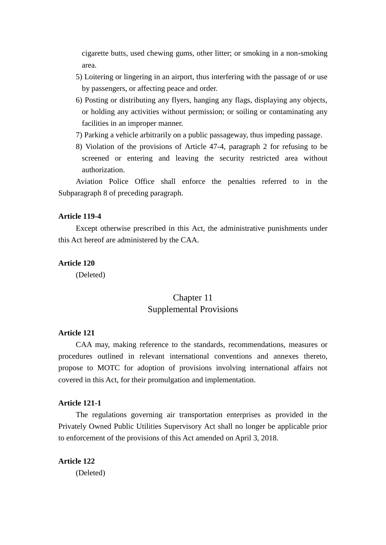cigarette butts, used chewing gums, other litter; or smoking in a non-smoking area.

- 5) Loitering or lingering in an airport, thus interfering with the passage of or use by passengers, or affecting peace and order.
- 6) Posting or distributing any flyers, hanging any flags, displaying any objects, or holding any activities without permission; or soiling or contaminating any facilities in an improper manner.
- 7) Parking a vehicle arbitrarily on a public passageway, thus impeding passage.
- 8) Violation of the provisions of Article 47-4, paragraph 2 for refusing to be screened or entering and leaving the security restricted area without authorization.

Aviation Police Office shall enforce the penalties referred to in the Subparagraph 8 of preceding paragraph.

## **Article 119-4**

Except otherwise prescribed in this Act, the administrative punishments under this Act hereof are administered by the CAA.

#### **Article 120**

(Deleted)

## Chapter 11 Supplemental Provisions

#### **Article 121**

CAA may, making reference to the standards, recommendations, measures or procedures outlined in relevant international conventions and annexes thereto, propose to MOTC for adoption of provisions involving international affairs not covered in this Act, for their promulgation and implementation.

### **Article 121-1**

The regulations governing air transportation enterprises as provided in the Privately Owned Public Utilities Supervisory Act shall no longer be applicable prior to enforcement of the provisions of this Act amended on April 3, 2018.

### **Article 122**

(Deleted)